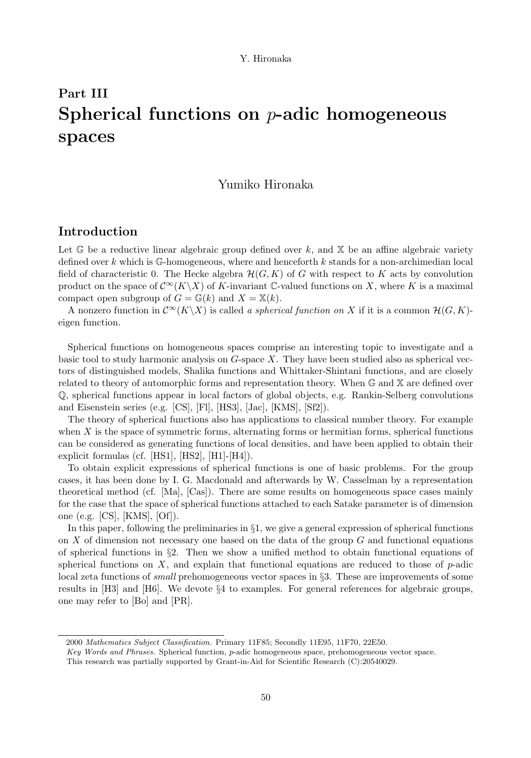# Part III Spherical functions on p-adic homogeneous spaces

## Yumiko Hironaka

## Introduction

Let  $\mathbb{G}$  be a reductive linear algebraic group defined over k, and  $\mathbb{X}$  be an affine algebraic variety defined over k which is  $\mathbb{G}$ -homogeneous, where and henceforth k stands for a non-archimedian local field of characteristic 0. The Hecke algebra  $\mathcal{H}(G, K)$  of G with respect to K acts by convolution product on the space of  $\mathcal{C}^{\infty}(K\backslash X)$  of K-invariant C-valued functions on X, where K is a maximal compact open subgroup of  $G = \mathbb{G}(k)$  and  $X = \mathbb{X}(k)$ .

A nonzero function in  $\mathcal{C}^{\infty}(K\backslash X)$  is called a spherical function on X if it is a common  $\mathcal{H}(G, K)$ eigen function.

Spherical functions on homogeneous spaces comprise an interesting topic to investigate and a basic tool to study harmonic analysis on  $G$ -space  $X$ . They have been studied also as spherical vectors of distinguished models, Shalika functions and Whittaker-Shintani functions, and are closely related to theory of automorphic forms and representation theory. When G and X are defined over Q, spherical functions appear in local factors of global objects, e.g. Rankin-Selberg convolutions and Eisenstein series (e.g. [CS], [Fl], [HS3], [Jac], [KMS], [Sf2]).

The theory of spherical functions also has applications to classical number theory. For example when  $X$  is the space of symmetric forms, alternating forms or hermitian forms, spherical functions can be considered as generating functions of local densities, and have been applied to obtain their explicit formulas (cf. [HS1], [HS2], [H1]-[H4]).

To obtain explicit expressions of spherical functions is one of basic problems. For the group cases, it has been done by I. G. Macdonald and afterwards by W. Casselman by a representation theoretical method (cf. [Ma], [Cas]). There are some results on homogeneous space cases mainly for the case that the space of spherical functions attached to each Satake parameter is of dimension one (e.g. [CS], [KMS], [Of]).

In this paper, following the preliminaries in §1, we give a general expression of spherical functions on X of dimension not necessary one based on the data of the group  $G$  and functional equations of spherical functions in  $\S2$ . Then we show a unified method to obtain functional equations of spherical functions on  $X$ , and explain that functional equations are reduced to those of  $p$ -adic local zeta functions of *small* prehomogeneous vector spaces in §3. These are improvements of some results in [H3] and [H6]. We devote §4 to examples. For general references for algebraic groups, one may refer to [Bo] and [PR].

<sup>2000</sup> Mathematics Subject Classification. Primary 11F85; Secondly 11E95, 11F70, 22E50.

Key Words and Phrases. Spherical function, p-adic homogeneous space, prehomogeneous vector space.

This research was partially supported by Grant-in-Aid for Scientific Research (C):20540029.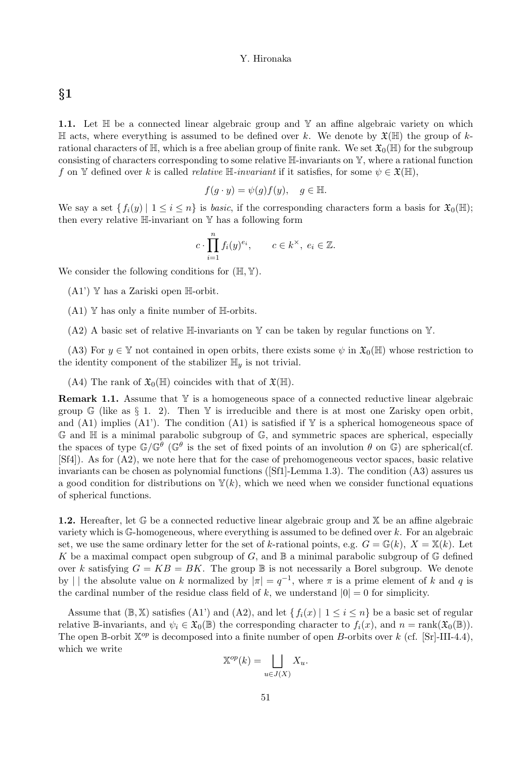# §1

1.1. Let  $\mathbb H$  be a connected linear algebraic group and  $\mathbb Y$  an affine algebraic variety on which  $\mathbb H$  acts, where everything is assumed to be defined over k. We denote by  $\mathfrak{X}(\mathbb H)$  the group of krational characters of  $\mathbb{H}$ , which is a free abelian group of finite rank. We set  $\mathfrak{X}_0(\mathbb{H})$  for the subgroup consisting of characters corresponding to some relative H-invariants on Y, where a rational function f on Y defined over k is called *relative*  $\mathbb{H}$ -invariant if it satisfies, for some  $\psi \in \mathfrak{X}(\mathbb{H})$ ,

$$
f(g \cdot y) = \psi(g)f(y), \quad g \in \mathbb{H}.
$$

We say a set  $\{f_i(y) \mid 1 \leq i \leq n\}$  is basic, if the corresponding characters form a basis for  $\mathfrak{X}_0(\mathbb{H})$ ; then every relative  $\mathbb{H}\text{-invariant on }\mathbb{Y}$  has a following form

$$
c \cdot \prod_{i=1}^n f_i(y)^{e_i}, \qquad c \in k^{\times}, \ e_i \in \mathbb{Z}.
$$

We consider the following conditions for  $(\mathbb{H}, \mathbb{Y})$ .

 $(A1')$  Y has a Zariski open H-orbit.

 $(A1)$  Y has only a finite number of H-orbits.

 $(A2)$  A basic set of relative H-invariants on Y can be taken by regular functions on Y.

(A3) For  $y \in \mathbb{Y}$  not contained in open orbits, there exists some  $\psi$  in  $\mathfrak{X}_0(\mathbb{H})$  whose restriction to the identity component of the stabilizer  $\mathbb{H}_y$  is not trivial.

(A4) The rank of  $\mathfrak{X}_0(\mathbb{H})$  coincides with that of  $\mathfrak{X}(\mathbb{H})$ .

**Remark 1.1.** Assume that  $Y$  is a homogeneous space of a connected reductive linear algebraic group  $\mathbb{G}$  (like as § 1. 2). Then Y is irreducible and there is at most one Zarisky open orbit, and (A1) implies (A1'). The condition (A1) is satisfied if  $\mathbb Y$  is a spherical homogeneous space of  $\mathbb G$  and  $\mathbb H$  is a minimal parabolic subgroup of  $\mathbb G$ , and symmetric spaces are spherical, especially the spaces of type  $\mathbb{G}/\mathbb{G}^{\theta}$  ( $\mathbb{G}^{\theta}$  is the set of fixed points of an involution  $\theta$  on  $\mathbb{G}$ ) are spherical(cf. [Sf4]). As for (A2), we note here that for the case of prehomogeneous vector spaces, basic relative invariants can be chosen as polynomial functions ([Sf1]-Lemma 1.3). The condition (A3) assures us a good condition for distributions on  $\mathbb{Y}(k)$ , which we need when we consider functional equations of spherical functions.

1.2. Hereafter, let  $\mathbb G$  be a connected reductive linear algebraic group and  $\mathbb X$  be an affine algebraic variety which is  $\mathbb{G}$ -homogeneous, where everything is assumed to be defined over k. For an algebraic set, we use the same ordinary letter for the set of k-rational points, e.g.  $G = \mathbb{G}(k)$ ,  $X = \mathbb{X}(k)$ . Let K be a maximal compact open subgroup of G, and  $\mathbb B$  a minimal parabolic subgroup of  $\mathbb G$  defined over k satisfying  $G = KB = BK$ . The group  $\mathbb B$  is not necessarily a Borel subgroup. We denote by || the absolute value on k normalized by  $|\pi| = q^{-1}$ , where  $\pi$  is a prime element of k and q is the cardinal number of the residue class field of k, we understand  $|0| = 0$  for simplicity.

Assume that  $(\mathbb{B}, \mathbb{X})$  satisfies  $(A1')$  and  $(A2)$ , and let  $\{f_i(x) | 1 \leq i \leq n\}$  be a basic set of regular relative B-invariants, and  $\psi_i \in \mathfrak{X}_0(\mathbb{B})$  the corresponding character to  $f_i(x)$ , and  $n = \text{rank}(\mathfrak{X}_0(\mathbb{B}))$ . The open B-orbit  $\mathbb{X}^{op}$  is decomposed into a finite number of open B-orbits over k (cf. [Sr]-III-4.4), which we write

$$
\mathbb{X}^{op}(k) = \bigsqcup_{u \in J(X)} X_u.
$$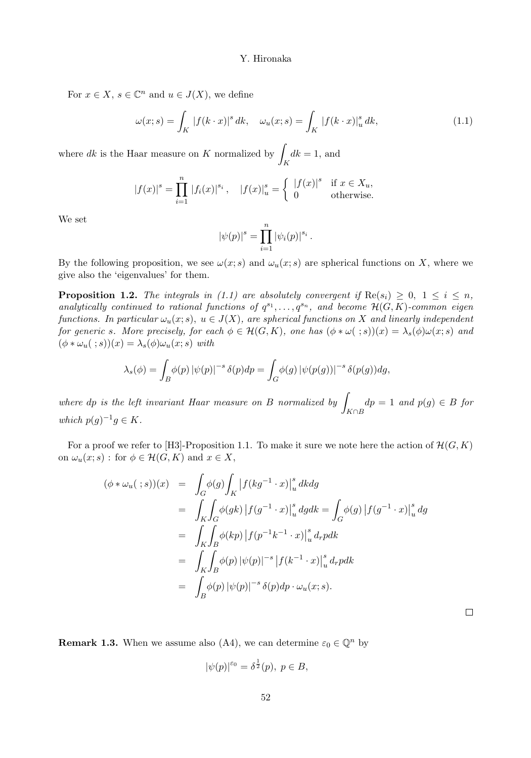For  $x \in X$ ,  $s \in \mathbb{C}^n$  and  $u \in J(X)$ , we define

$$
\omega(x;s) = \int_K |f(k \cdot x)|^s dk, \quad \omega_u(x;s) = \int_K |f(k \cdot x)|_u^s dk,
$$
\n(1.1)

where  $dk$  is the Haar measure on K normalized by  $\int_K dk = 1$ , and

$$
|f(x)|^s = \prod_{i=1}^n |f_i(x)|^{s_i}, \quad |f(x)|_u^s = \begin{cases} |f(x)|^s & \text{if } x \in X_u, \\ 0 & \text{otherwise.} \end{cases}
$$

We set

$$
|\psi(p)|^{s} = \prod_{i=1}^{n} |\psi_i(p)|^{s_i}.
$$

By the following proposition, we see  $\omega(x; s)$  and  $\omega_u(x; s)$  are spherical functions on X, where we give also the 'eigenvalues' for them.

**Proposition 1.2.** The integrals in (1.1) are absolutely convergent if  $\text{Re}(s_i) \geq 0$ ,  $1 \leq i \leq n$ , analytically continued to rational functions of  $q^{s_1}, \ldots, q^{s_n}$ , and become  $\mathcal{H}(G,K)$ -common eigen functions. In particular  $\omega_u(x; s)$ ,  $u \in J(X)$ , are spherical functions on X and linearly independent for generic s. More precisely, for each  $\phi \in \mathcal{H}(G,K)$ , one has  $(\phi * \omega(\cdot, s))(x) = \lambda_s(\phi)\omega(x; s)$  and  $(\phi * \omega_u(\cdot; s))(x) = \lambda_s(\phi)\omega_u(x; s)$  with

$$
\lambda_s(\phi) = \int_B \phi(p) |\psi(p)|^{-s} \delta(p) dp = \int_G \phi(g) |\psi(p(g))|^{-s} \delta(p(g)) dg,
$$

where dp is the left invariant Haar measure on B normalized by  $\vert$  $\bigcup_{K \cap B} dp = 1$  and  $p(g) \in B$  for which  $p(g)^{-1}g \in K$ .

For a proof we refer to [H3]-Proposition 1.1. To make it sure we note here the action of  $\mathcal{H}(G, K)$ on  $\omega_u(x; s)$ : for  $\phi \in \mathcal{H}(G, K)$  and  $x \in X$ ,

$$
(\phi * \omega_u(\ ; s))(x) = \int_G \phi(g) \int_K |f(kg^{-1} \cdot x)|_u^s dk dg
$$
  
\n
$$
= \int_K \int_G \phi(gk) |f(g^{-1} \cdot x)|_u^s dg dk = \int_G \phi(g) |f(g^{-1} \cdot x)|_u^s dg
$$
  
\n
$$
= \int_K \int_B \phi(kp) |f(p^{-1}k^{-1} \cdot x)|_u^s d_r p dk
$$
  
\n
$$
= \int_K \int_B \phi(p) |\psi(p)|^{-s} |f(k^{-1} \cdot x)|_u^s d_r p dk
$$
  
\n
$$
= \int_B \phi(p) |\psi(p)|^{-s} \delta(p) dp \cdot \omega_u(x; s).
$$

 $\Box$ 

**Remark 1.3.** When we assume also (A4), we can determine  $\varepsilon_0 \in \mathbb{Q}^n$  by

$$
|\psi(p)|^{\varepsilon_0} = \delta^{\frac{1}{2}}(p), \ p \in B,
$$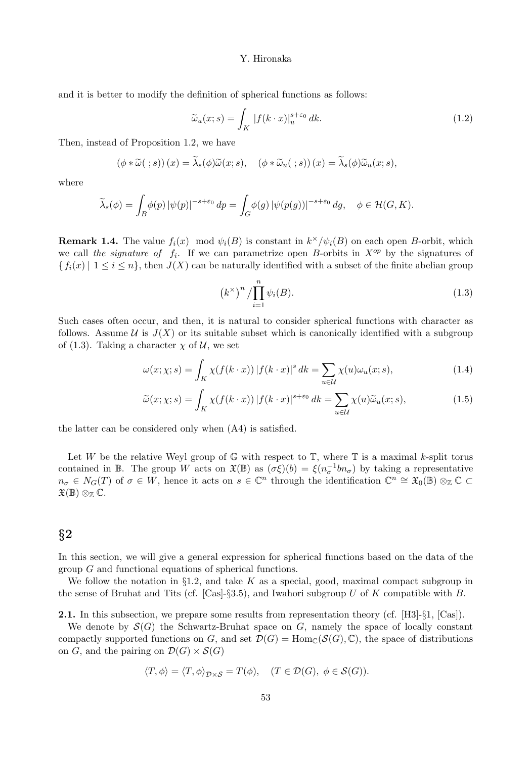and it is better to modify the definition of spherical functions as follows:

$$
\widetilde{\omega}_u(x;s) = \int_K |f(k \cdot x)|_u^{s+\varepsilon_0} dk. \tag{1.2}
$$

Then, instead of Proposition 1.2, we have

$$
(\phi * \widetilde{\omega}(\ ; s)) (x) = \widetilde{\lambda}_s(\phi) \widetilde{\omega}(x; s), \quad (\phi * \widetilde{\omega}_u(\ ; s)) (x) = \widetilde{\lambda}_s(\phi) \widetilde{\omega}_u(x; s),
$$

where

$$
\widetilde{\lambda}_s(\phi) = \int_B \phi(p) |\psi(p)|^{-s+\varepsilon_0} dp = \int_G \phi(g) |\psi(p(g))|^{-s+\varepsilon_0} dg, \quad \phi \in \mathcal{H}(G, K).
$$

**Remark 1.4.** The value  $f_i(x) \mod \psi_i(B)$  is constant in  $k^{\times}/\psi_i(B)$  on each open *B*-orbit, which we call the signature of  $f_i$ . If we can parametrize open B-orbits in  $X^{op}$  by the signatures of  ${f_i(x) | 1 \le i \le n}$ , then  $J(X)$  can be naturally identified with a subset of the finite abelian group

$$
\left(k^{\times}\right)^n / \prod_{i=1}^n \psi_i(B). \tag{1.3}
$$

Such cases often occur, and then, it is natural to consider spherical functions with character as follows. Assume  $U$  is  $J(X)$  or its suitable subset which is canonically identified with a subgroup of (1.3). Taking a character  $\chi$  of  $\mathcal{U}$ , we set

$$
\omega(x; \chi; s) = \int_K \chi(f(k \cdot x)) |f(k \cdot x)|^s dk = \sum_{u \in \mathcal{U}} \chi(u) \omega_u(x; s), \tag{1.4}
$$

$$
\widetilde{\omega}(x;\chi;s) = \int_K \chi(f(k \cdot x)) |f(k \cdot x)|^{s+\varepsilon_0} dk = \sum_{u \in \mathcal{U}} \chi(u) \widetilde{\omega}_u(x;s), \tag{1.5}
$$

the latter can be considered only when (A4) is satisfied.

Let W be the relative Weyl group of  $\mathbb{G}$  with respect to  $\mathbb{T}$ , where  $\mathbb{T}$  is a maximal k-split torus contained in B. The group W acts on  $\mathfrak{X}(\mathbb{B})$  as  $(\sigma \xi)(b) = \xi(n_{\sigma}^{-1}bn_{\sigma})$  by taking a representative  $n_{\sigma} \in N_G(T)$  of  $\sigma \in W$ , hence it acts on  $s \in \mathbb{C}^n$  through the identification  $\mathbb{C}^n \cong \mathfrak{X}_0(\mathbb{B}) \otimes_{\mathbb{Z}} \mathbb{C} \subset$  $\mathfrak{X}(\mathbb{B})\otimes_{\mathbb{Z}}\mathbb{C}.$ 

# §2

In this section, we will give a general expression for spherical functions based on the data of the group G and functional equations of spherical functions.

We follow the notation in §1.2, and take  $K$  as a special, good, maximal compact subgroup in the sense of Bruhat and Tits (cf. [Cas]-§3.5), and Iwahori subgroup U of K compatible with B.

2.1. In this subsection, we prepare some results from representation theory (cf. [H3]-§1, [Cas]).

We denote by  $\mathcal{S}(G)$  the Schwartz-Bruhat space on G, namely the space of locally constant compactly supported functions on G, and set  $\mathcal{D}(G) = \text{Hom}_{\mathbb{C}}(\mathcal{S}(G), \mathbb{C})$ , the space of distributions on G, and the pairing on  $\mathcal{D}(G) \times \mathcal{S}(G)$ 

$$
\langle T, \phi \rangle = \langle T, \phi \rangle_{\mathcal{D} \times \mathcal{S}} = T(\phi), \quad (T \in \mathcal{D}(G), \ \phi \in \mathcal{S}(G)).
$$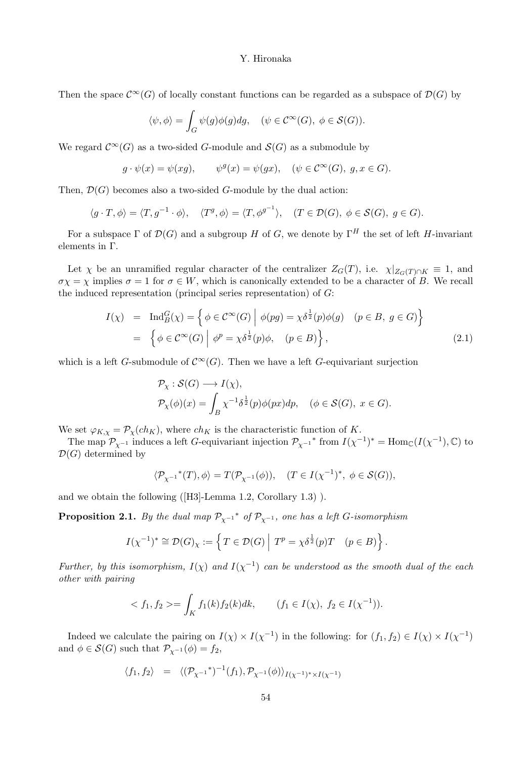Then the space  $\mathcal{C}^{\infty}(G)$  of locally constant functions can be regarded as a subspace of  $\mathcal{D}(G)$  by

$$
\langle \psi, \phi \rangle = \int_G \psi(g) \phi(g) dg, \quad (\psi \in \mathcal{C}^{\infty}(G), \ \phi \in \mathcal{S}(G)).
$$

We regard  $\mathcal{C}^{\infty}(G)$  as a two-sided G-module and  $\mathcal{S}(G)$  as a submodule by

$$
g \cdot \psi(x) = \psi(xg), \qquad \psi^g(x) = \psi(gx), \quad (\psi \in C^{\infty}(G), g, x \in G).
$$

Then,  $\mathcal{D}(G)$  becomes also a two-sided G-module by the dual action:

$$
\langle g \cdot T, \phi \rangle = \langle T, g^{-1} \cdot \phi \rangle, \quad \langle T^g, \phi \rangle = \langle T, \phi^{g^{-1}} \rangle, \quad (T \in \mathcal{D}(G), \phi \in \mathcal{S}(G), g \in G).
$$

For a subspace  $\Gamma$  of  $\mathcal{D}(G)$  and a subgroup H of G, we denote by  $\Gamma^H$  the set of left H-invariant elements in Γ.

Let  $\chi$  be an unramified regular character of the centralizer  $Z_G(T)$ , i.e.  $\chi|_{Z_G(T) \cap K} \equiv 1$ , and  $\sigma \chi = \chi$  implies  $\sigma = 1$  for  $\sigma \in W$ , which is canonically extended to be a character of B. We recall the induced representation (principal series representation) of  $G$ :

$$
I(\chi) = \text{Ind}_{B}^{G}(\chi) = \left\{ \phi \in C^{\infty}(G) \middle| \phi(pg) = \chi \delta^{\frac{1}{2}}(p)\phi(g) \quad (p \in B, g \in G) \right\}
$$
  
= 
$$
\left\{ \phi \in C^{\infty}(G) \middle| \phi^{p} = \chi \delta^{\frac{1}{2}}(p)\phi, \quad (p \in B) \right\},
$$
 (2.1)

which is a left G-submodule of  $\mathcal{C}^{\infty}(G)$ . Then we have a left G-equivariant surjection

$$
\begin{aligned} \mathcal{P}_\chi&:\mathcal{S}(G)\longrightarrow I(\chi),\\ \mathcal{P}_\chi(\phi)(x)&=\int_B\chi^{-1}\delta^{\frac{1}{2}}(p)\phi(px)dp, \quad (\phi\in\mathcal{S}(G),\;x\in G). \end{aligned}
$$

We set  $\varphi_{K,\chi} = \mathcal{P}_{\chi}(ch_K)$ , where  $ch_K$  is the characteristic function of K.

The map  $\mathcal{P}_{\chi^{-1}}$  induces a left G-equivariant injection  $\mathcal{P}_{\chi^{-1}}^*$  from  $I(\chi^{-1})^* = \text{Hom}_{\mathbb{C}}(I(\chi^{-1}), \mathbb{C})$  to  $\mathcal{D}(G)$  determined by

$$
\langle \mathcal{P}_{\chi^{-1}}^*(T), \phi \rangle = T(\mathcal{P}_{\chi^{-1}}(\phi)), \quad (T \in I(\chi^{-1})^*, \ \phi \in \mathcal{S}(G)),
$$

and we obtain the following ([H3]-Lemma 1.2, Corollary 1.3) ).

**Proposition 2.1.** By the dual map  $\mathcal{P}_{\chi^{-1}}^*$  of  $\mathcal{P}_{\chi^{-1}}$ , one has a left G-isomorphism

$$
I(\chi^{-1})^* \cong \mathcal{D}(G)_{\chi} := \left\{ T \in \mathcal{D}(G) \mid T^p = \chi \delta^{\frac{1}{2}}(p)T \quad (p \in B) \right\}.
$$

Further, by this isomorphism,  $I(\chi)$  and  $I(\chi^{-1})$  can be understood as the smooth dual of the each other with pairing

$$
\langle f_1, f_2 \rangle = \int_K f_1(k) f_2(k) dk, \qquad (f_1 \in I(\chi), f_2 \in I(\chi^{-1})).
$$

Indeed we calculate the pairing on  $I(\chi) \times I(\chi^{-1})$  in the following: for  $(f_1, f_2) \in I(\chi) \times I(\chi^{-1})$ and  $\phi \in \mathcal{S}(G)$  such that  $\mathcal{P}_{\chi^{-1}}(\phi) = f_2$ ,

$$
\langle f_1, f_2 \rangle = \langle (\mathcal{P}_{\chi^{-1}}^*)^{-1}(f_1), \mathcal{P}_{\chi^{-1}}(\phi) \rangle_{I(\chi^{-1})^* \times I(\chi^{-1})}
$$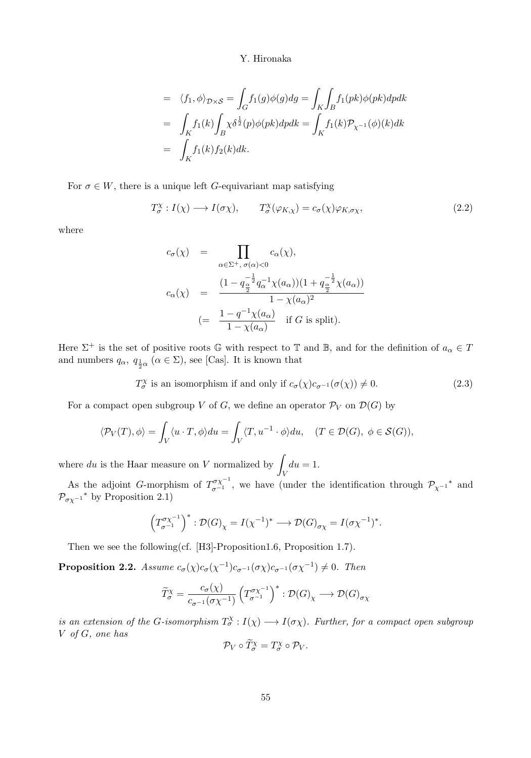$$
\begin{array}{lcl} &=& \langle f_1, \phi \rangle_{\mathcal{D}\times\mathcal{S}} = \int_G f_1(g) \phi(g) dg = \int_K \int_B f_1(pk) \phi(pk) dp dk \\ &=& \int_K f_1(k) \int_B \chi \delta^{\frac{1}{2}}(p) \phi(pk) dp dk = \int_K f_1(k) \mathcal{P}_{\chi^{-1}}(\phi)(k) dk \\ &=& \int_K f_1(k) f_2(k) dk. \end{array}
$$

For  $\sigma \in W$ , there is a unique left G-equivariant map satisfying

$$
T_{\sigma}^{\chi}: I(\chi) \longrightarrow I(\sigma\chi), \qquad T_{\sigma}^{\chi}(\varphi_{K,\chi}) = c_{\sigma}(\chi)\varphi_{K,\sigma\chi}, \qquad (2.2)
$$

where

$$
c_{\sigma}(\chi) = \prod_{\alpha \in \Sigma^{+}, \sigma(\alpha) < 0} c_{\alpha}(\chi),
$$
\n
$$
c_{\alpha}(\chi) = \frac{\left(1 - q_{\frac{\alpha}{2}}^{-\frac{1}{2}} q_{\alpha}^{-1} \chi(a_{\alpha})\right)\left(1 + q_{\frac{\alpha}{2}}^{-\frac{1}{2}} \chi(a_{\alpha})\right)}{1 - \chi(a_{\alpha})^{2}}
$$
\n
$$
(= \frac{1 - q^{-1} \chi(a_{\alpha})}{1 - \chi(a_{\alpha})} \quad \text{if } G \text{ is split}).
$$

Here  $\Sigma^+$  is the set of positive roots G with respect to T and B, and for the definition of  $a_{\alpha} \in T$ and numbers  $q_{\alpha}$ ,  $q_{\frac{1}{2}\alpha}$  ( $\alpha \in \Sigma$ ), see [Cas]. It is known that

$$
T_{\sigma}^{\chi} \text{ is an isomorphism if and only if } c_{\sigma}(\chi)c_{\sigma^{-1}}(\sigma(\chi)) \neq 0. \tag{2.3}
$$

For a compact open subgroup V of G, we define an operator  $\mathcal{P}_V$  on  $\mathcal{D}(G)$  by

$$
\langle \mathcal{P}_V(T), \phi \rangle = \int_V \langle u \cdot T, \phi \rangle du = \int_V \langle T, u^{-1} \cdot \phi \rangle du, \quad (T \in \mathcal{D}(G), \phi \in \mathcal{S}(G)),
$$

where du is the Haar measure on V normalized by  $\int du = 1$ . V

As the adjoint G-morphism of  $T^{\sigma\chi^{-1}}_{\sigma^{-1}}$ , we have (under the identification through  $\mathcal{P}_{\chi^{-1}}^*$  and  $\mathcal{P}_{\sigma\chi^{-1}}$ <sup>\*</sup> by Proposition 2.1)

$$
\left(T_{\sigma^{-1}}^{\sigma_X^{-1}}\right)^* : \mathcal{D}(G)_\chi = I(\chi^{-1})^* \longrightarrow \mathcal{D}(G)_{\sigma_X} = I(\sigma_X^{-1})^*.
$$

Then we see the following(cf. [H3]-Proposition1.6, Proposition 1.7).

**Proposition 2.2.** Assume  $c_{\sigma}(\chi)c_{\sigma}(\chi^{-1})c_{\sigma^{-1}}(\sigma\chi)c_{\sigma^{-1}}(\sigma\chi^{-1}) \neq 0$ . Then

$$
\widetilde{T}_{\sigma}^{\chi} = \frac{c_{\sigma}(\chi)}{c_{\sigma^{-1}}(\sigma\chi^{-1})} \left(T_{\sigma^{-1}}^{\sigma\chi^{-1}}\right)^{*} : \mathcal{D}(G)_{\chi} \longrightarrow \mathcal{D}(G)_{\sigma\chi}
$$

is an extension of the G-isomorphism  $T^{\chi}_{\sigma}: I(\chi) \longrightarrow I(\sigma \chi)$ . Further, for a compact open subgroup V of G, one has

$$
\mathcal{P}_V \circ \widetilde{T}_{\sigma}^{\chi} = T_{\sigma}^{\chi} \circ \mathcal{P}_V.
$$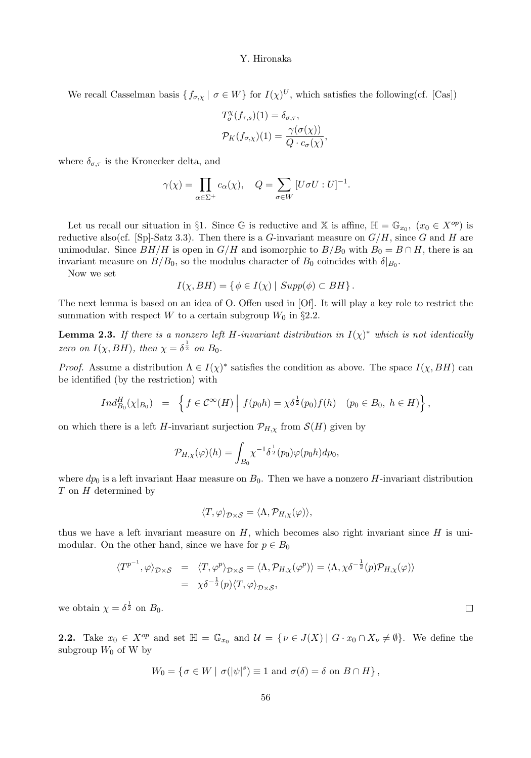We recall Casselman basis  $\{f_{\sigma,\chi} \mid \sigma \in W\}$  for  $I(\chi)^U$ , which satisfies the following(cf. [Cas])

$$
T_{\sigma}^{\chi}(f_{\tau,s})(1) = \delta_{\sigma,\tau},
$$
  

$$
\mathcal{P}_K(f_{\sigma,\chi})(1) = \frac{\gamma(\sigma(\chi))}{Q \cdot c_{\sigma}(\chi)},
$$

where  $\delta_{\sigma,\tau}$  is the Kronecker delta, and

$$
\gamma(\chi)=\prod_{\alpha\in\Sigma^+}c_\alpha(\chi),\quad Q=\sum_{\sigma\in W}\,[U\sigma U:U]^{-1}.
$$

Let us recall our situation in §1. Since  $\mathbb G$  is reductive and X is affine,  $\mathbb H = \mathbb G_{x_0}$ ,  $(x_0 \in X^{op})$  is reductive also(cf. [Sp]-Satz 3.3). Then there is a G-invariant measure on  $G/H$ , since G and H are unimodular. Since  $BH/H$  is open in  $G/H$  and isomorphic to  $B/B_0$  with  $B_0 = B \cap H$ , there is an invariant measure on  $B/B_0$ , so the modulus character of  $B_0$  coincides with  $\delta|_{B_0}$ .

Now we set

$$
I(\chi, BH) = \{ \phi \in I(\chi) \mid Supp(\phi) \subset BH \}.
$$

The next lemma is based on an idea of O. Offen used in [Of]. It will play a key role to restrict the summation with respect W to a certain subgroup  $W_0$  in §2.2.

**Lemma 2.3.** If there is a nonzero left H-invariant distribution in  $I(\chi)^*$  which is not identically zero on  $I(\chi, BH)$ , then  $\chi = \delta^{\frac{1}{2}}$  on  $B_0$ .

*Proof.* Assume a distribution  $\Lambda \in I(\chi)^*$  satisfies the condition as above. The space  $I(\chi, BH)$  can be identified (by the restriction) with

$$
Ind_{B_0}^H(\chi|_{B_0}) = \left\{ f \in C^{\infty}(H) \middle| f(p_0 h) = \chi \delta^{\frac{1}{2}}(p_0) f(h) \quad (p_0 \in B_0, \ h \in H) \right\},\
$$

on which there is a left H-invariant surjection  $\mathcal{P}_{H,\chi}$  from  $\mathcal{S}(H)$  given by

$$
\mathcal{P}_{H,\chi}(\varphi)(h) = \int_{B_0} \chi^{-1} \delta^{\frac{1}{2}}(p_0) \varphi(p_0 h) dp_0,
$$

where  $dp_0$  is a left invariant Haar measure on  $B_0$ . Then we have a nonzero H-invariant distribution  $T$  on  $H$  determined by

$$
\langle T, \varphi \rangle_{\mathcal{D} \times \mathcal{S}} = \langle \Lambda, \mathcal{P}_{H, \chi}(\varphi) \rangle,
$$

thus we have a left invariant measure on  $H$ , which becomes also right invariant since  $H$  is unimodular. On the other hand, since we have for  $p \in B_0$ 

$$
\langle T^{p^{-1}}, \varphi \rangle_{\mathcal{D} \times \mathcal{S}} = \langle T, \varphi^p \rangle_{\mathcal{D} \times \mathcal{S}} = \langle \Lambda, \mathcal{P}_{H, \chi}(\varphi^p) \rangle = \langle \Lambda, \chi \delta^{-\frac{1}{2}}(p) \mathcal{P}_{H, \chi}(\varphi) \rangle
$$
  
=  $\chi \delta^{-\frac{1}{2}}(p) \langle T, \varphi \rangle_{\mathcal{D} \times \mathcal{S}},$ 

we obtain  $\chi = \delta^{\frac{1}{2}}$  on  $B_0$ .

**2.2.** Take  $x_0 \in X^{op}$  and set  $\mathbb{H} = \mathbb{G}_{x_0}$  and  $\mathcal{U} = \{ \nu \in J(X) \mid G \cdot x_0 \cap X_{\nu} \neq \emptyset \}$ . We define the subgroup  $W_0$  of W by

$$
W_0 = \{ \sigma \in W \mid \sigma(|\psi|^s) \equiv 1 \text{ and } \sigma(\delta) = \delta \text{ on } B \cap H \},
$$

 $\Box$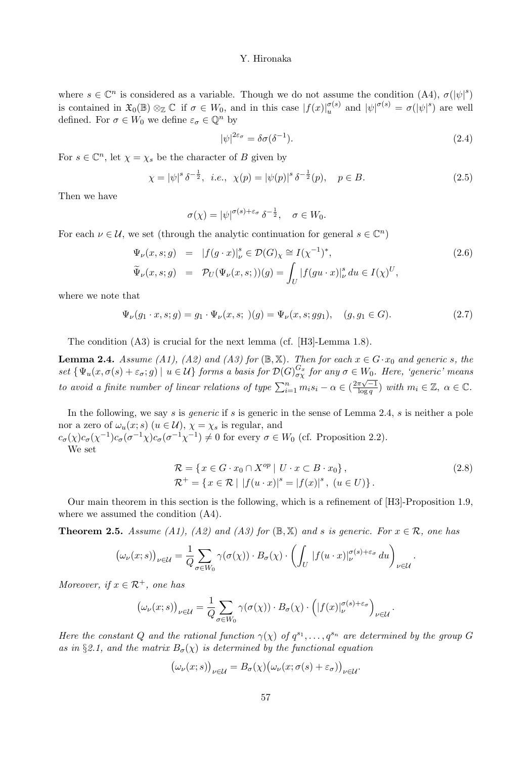where  $s \in \mathbb{C}^n$  is considered as a variable. Though we do not assume the condition  $(A4)$ ,  $\sigma(|\psi|^s)$ is contained in  $\mathfrak{X}_0(\mathbb{B}) \otimes_{\mathbb{Z}} \mathbb{C}$  if  $\sigma \in W_0$ , and in this case  $|f(x)|_u^{\sigma(s)}$  and  $|\psi|^{\sigma(s)} = \sigma(|\psi|^s)$  are well defined. For  $\sigma \in W_0$  we define  $\varepsilon_{\sigma} \in \mathbb{Q}^n$  by

$$
|\psi|^{2\varepsilon_{\sigma}} = \delta\sigma(\delta^{-1}).
$$
\n(2.4)

For  $s \in \mathbb{C}^n$ , let  $\chi = \chi_s$  be the character of B given by

$$
\chi = |\psi|^s \delta^{-\frac{1}{2}}, \ i.e., \ \chi(p) = |\psi(p)|^s \delta^{-\frac{1}{2}}(p), \quad p \in B. \tag{2.5}
$$

Then we have

$$
\sigma(\chi) = |\psi|^{\sigma(s) + \varepsilon_{\sigma}} \, \delta^{-\frac{1}{2}}, \quad \sigma \in W_0.
$$

For each  $\nu \in \mathcal{U}$ , we set (through the analytic continuation for general  $s \in \mathbb{C}^n$ )

$$
\Psi_{\nu}(x,s;g) = |f(g \cdot x)|_{\nu}^{s} \in \mathcal{D}(G)_{\chi} \cong I(\chi^{-1})^{*},
$$
\n
$$
\widetilde{\Psi}_{\nu}(x,s;g) = \mathcal{P}_{U}(\Psi_{\nu}(x,s;))(g) = \int_{U} |f(gu \cdot x)|_{\nu}^{s} du \in I(\chi)^{U},
$$
\n(2.6)

where we note that

$$
\Psi_{\nu}(g_1 \cdot x, s; g) = g_1 \cdot \Psi_{\nu}(x, s; \cdot)(g) = \Psi_{\nu}(x, s; g g_1), \quad (g, g_1 \in G). \tag{2.7}
$$

The condition (A3) is crucial for the next lemma (cf. [H3]-Lemma 1.8).

**Lemma 2.4.** Assume (A1), (A2) and (A3) for ( $\mathbb{B}, \mathbb{X}$ ). Then for each  $x \in G \cdot x_0$  and generic s, the set  $\{\Psi_u(x, \sigma(s) + \varepsilon_{\sigma}; g) \mid u \in \mathcal{U}\}\)$  forms a basis for  $\mathcal{D}(G)_{\sigma_X}^{G_x}$  for any  $\sigma \in W_0$ . Here, 'generic' means to avoid a finite number of linear relations of type  $\sum_{i=1}^{n} m_i s_i - \alpha \in (\frac{2\pi\sqrt{-1}}{\log q})$  with  $m_i \in \mathbb{Z}, \alpha \in \mathbb{C}$ .

In the following, we say s is *generic* if s is generic in the sense of Lemma 2.4, s is neither a pole nor a zero of  $\omega_u(x; s)$   $(u \in \mathcal{U}), \chi = \chi_s$  is regular, and

 $c_{\sigma}(\chi)c_{\sigma}(\chi^{-1})c_{\sigma}(\sigma^{-1}\chi)c_{\sigma}(\sigma^{-1}\chi^{-1}) \neq 0$  for every  $\sigma \in W_0$  (cf. Proposition 2.2). We set

$$
\mathbf{v} \in \mathbf{v}
$$

$$
\mathcal{R} = \{x \in G \cdot x_0 \cap X^{op} \mid U \cdot x \subset B \cdot x_0\},\
$$
  
\n
$$
\mathcal{R}^+ = \{x \in \mathcal{R} \mid |f(u \cdot x)|^s = |f(x)|^s, \ (u \in U)\}.
$$
\n(2.8)

Our main theorem in this section is the following, which is a refinement of [H3]-Proposition 1.9, where we assumed the condition (A4).

**Theorem 2.5.** Assume (A1), (A2) and (A3) for  $(\mathbb{B}, \mathbb{X})$  and s is generic. For  $x \in \mathcal{R}$ , one has

$$
\big(\omega_{\nu}(x;s)\big)_{\nu\in\mathcal{U}}=\frac{1}{Q}\sum_{\sigma\in W_0}\gamma(\sigma(\chi))\cdot B_{\sigma}(\chi)\cdot\left(\int_U|f(u\cdot x)|_{\nu}^{\sigma(s)+\varepsilon_{\sigma}}du\right)_{\nu\in\mathcal{U}}.
$$

Moreover, if  $x \in \mathcal{R}^+$ , one has

$$
\big(\omega_{\nu}(x;s)\big)_{\nu\in\mathcal{U}}=\frac{1}{Q}\sum_{\sigma\in W_0}\gamma(\sigma(\chi))\cdot B_{\sigma}(\chi)\cdot\Big(|f(x)|_{\nu}^{\sigma(s)+\varepsilon_{\sigma}}\Big)_{\nu\in\mathcal{U}}.
$$

Here the constant Q and the rational function  $\gamma(\chi)$  of  $q^{s_1}, \ldots, q^{s_n}$  are determined by the group G as in §2.1, and the matrix  $B_{\sigma}(\chi)$  is determined by the functional equation

$$
(\omega_{\nu}(x;s))_{\nu\in\mathcal{U}}=B_{\sigma}(\chi)(\omega_{\nu}(x;\sigma(s)+\varepsilon_{\sigma}))_{\nu\in\mathcal{U}}.
$$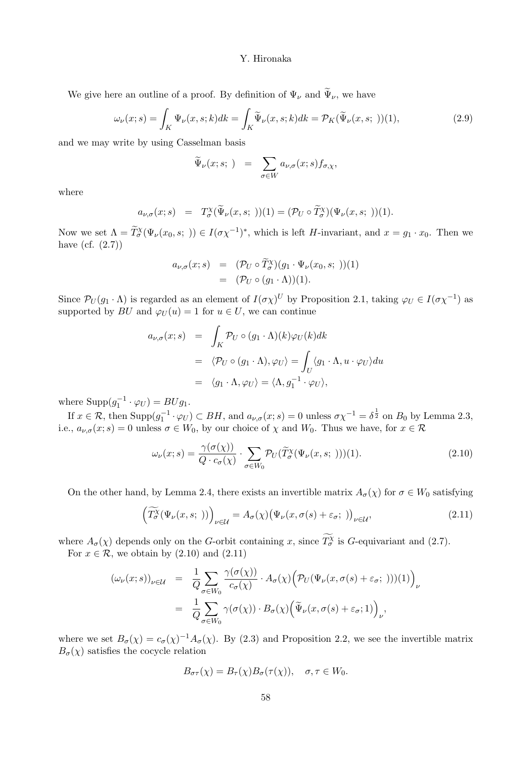We give here an outline of a proof. By definition of  $\Psi_{\nu}$  and  $\widetilde{\Psi}_{\nu}$ , we have

$$
\omega_{\nu}(x;s) = \int_{K} \Psi_{\nu}(x,s;k)dk = \int_{K} \widetilde{\Psi}_{\nu}(x,s;k)dk = \mathcal{P}_{K}(\widetilde{\Psi}_{\nu}(x,s;))
$$
(2.9)

and we may write by using Casselman basis

$$
\widetilde{\Psi}_{\nu}(x;s; \cdot) = \sum_{\sigma \in W} a_{\nu,\sigma}(x;s) f_{\sigma,\chi},
$$

where

$$
a_{\nu,\sigma}(x;s) = T_{\sigma}^{\chi}(\widetilde{\Psi}_{\nu}(x,s;))
$$
 (1) =  $(\mathcal{P}_U \circ \widetilde{T}_{\sigma}^{\chi})(\Psi_{\nu}(x,s;))$  (1).

Now we set  $\Lambda = \widetilde{T}_{\sigma}^{\chi}(\Psi_{\nu}(x_0, s; \cdot)) \in I(\sigma \chi^{-1})^*$ , which is left H-invariant, and  $x = g_1 \cdot x_0$ . Then we have  $(cf. (2.7))$ 

$$
a_{\nu,\sigma}(x;s) = (\mathcal{P}_U \circ \widetilde{T}_{\sigma}^X)(g_1 \cdot \Psi_{\nu}(x_0,s;))
$$
  
= 
$$
(\mathcal{P}_U \circ (g_1 \cdot \Lambda))(1).
$$

Since  $\mathcal{P}_U(g_1 \cdot \Lambda)$  is regarded as an element of  $I(\sigma \chi)^U$  by Proposition 2.1, taking  $\varphi_U \in I(\sigma \chi^{-1})$  as supported by  $BU$  and  $\varphi_U(u) = 1$  for  $u \in U$ , we can continue

$$
a_{\nu,\sigma}(x;s) = \int_K \mathcal{P}_U \circ (g_1 \cdot \Lambda)(k) \varphi_U(k) dk
$$
  
=  $\langle \mathcal{P}_U \circ (g_1 \cdot \Lambda), \varphi_U \rangle = \int_U \langle g_1 \cdot \Lambda, u \cdot \varphi_U \rangle du$   
=  $\langle g_1 \cdot \Lambda, \varphi_U \rangle = \langle \Lambda, g_1^{-1} \cdot \varphi_U \rangle,$ 

where  $\text{Supp}(g_1^{-1} \cdot \varphi_U) = BUg_1.$ 1

If  $x \in \mathcal{R}$ , then  $\text{Supp}(g_1^{-1} \cdot \varphi_U) \subset BH$ , and  $a_{\nu,\sigma}(x; s) = 0$  unless  $\sigma \chi^{-1} = \delta^{\frac{1}{2}}$  on  $B_0$  by Lemma 2.3, i.e.,  $a_{\nu,\sigma}(x; s) = 0$  unless  $\sigma \in W_0$ , by our choice of  $\chi$  and  $W_0$ . Thus we have, for  $x \in \mathcal{R}$ 

$$
\omega_{\nu}(x;s) = \frac{\gamma(\sigma(\chi))}{Q \cdot c_{\sigma}(\chi)} \cdot \sum_{\sigma \in W_0} \mathcal{P}_U(\widetilde{T}_{\sigma}^{\chi}(\Psi_{\nu}(x,s;))) (1). \tag{2.10}
$$

On the other hand, by Lemma 2.4, there exists an invertible matrix  $A_{\sigma}(\chi)$  for  $\sigma \in W_0$  satisfying

$$
\left(\widetilde{T_{\sigma}^{\chi}}(\Psi_{\nu}(x,s; \;))\right)_{\nu \in \mathcal{U}} = A_{\sigma}(\chi) \big(\Psi_{\nu}(x,\sigma(s) + \varepsilon_{\sigma}; \;)\big)_{\nu \in \mathcal{U}},\tag{2.11}
$$

where  $A_{\sigma}(\chi)$  depends only on the G-orbit containing x, since  $\widetilde{T_{\sigma}}$  is G-equivariant and (2.7).

For  $x \in \mathcal{R}$ , we obtain by  $(2.10)$  and  $(2.11)$ 

$$
\begin{array}{rcl} (\omega_{\nu}(x;s))_{\nu \in \mathcal{U}} & = & \frac{1}{Q} \sum_{\sigma \in W_0} \frac{\gamma(\sigma(\chi))}{c_{\sigma}(\chi)} \cdot A_{\sigma}(\chi) \Big( \mathcal{P}_U(\Psi_{\nu}(x,\sigma(s) + \varepsilon_{\sigma}; \;))) (1) \Big)_{\nu} \\ \\ & = & \frac{1}{Q} \sum_{\sigma \in W_0} \gamma(\sigma(\chi)) \cdot B_{\sigma}(\chi) \Big( \widetilde{\Psi}_{\nu}(x,\sigma(s) + \varepsilon_{\sigma}; 1) \Big)_{\nu}, \end{array}
$$

where we set  $B_{\sigma}(\chi) = c_{\sigma}(\chi)^{-1} A_{\sigma}(\chi)$ . By (2.3) and Proposition 2.2, we see the invertible matrix  $B_{\sigma}(\chi)$  satisfies the cocycle relation

$$
B_{\sigma\tau}(\chi) = B_{\tau}(\chi)B_{\sigma}(\tau(\chi)), \quad \sigma, \tau \in W_0.
$$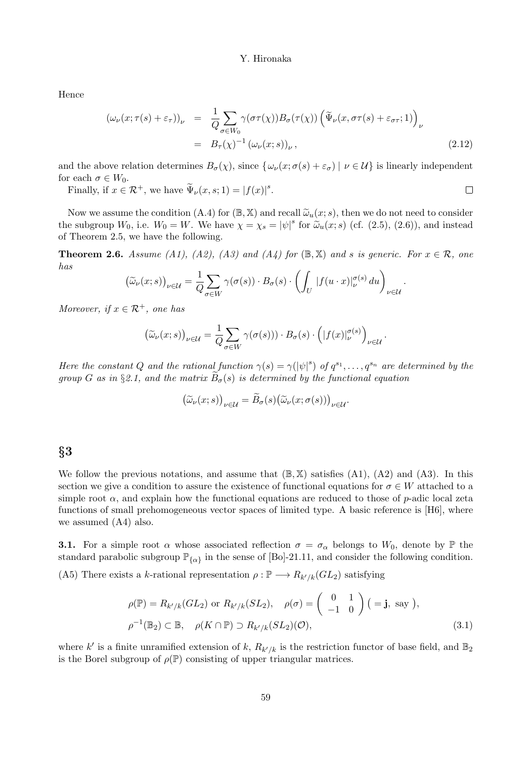Hence

$$
\begin{array}{rcl}\n(\omega_{\nu}(x;\tau(s)+\varepsilon_{\tau}))_{\nu} & = & \frac{1}{Q} \sum_{\sigma \in W_0} \gamma(\sigma \tau(\chi)) B_{\sigma}(\tau(\chi)) \left( \widetilde{\Psi}_{\nu}(x,\sigma \tau(s)+\varepsilon_{\sigma \tau};1) \right)_{\nu} \\
& = & B_{\tau}(\chi)^{-1} \left( \omega_{\nu}(x;s) \right)_{\nu},\n\end{array} \tag{2.12}
$$

and the above relation determines  $B_{\sigma}(\chi)$ , since  $\{\omega_{\nu}(x;\sigma(s) + \varepsilon_{\sigma}) \mid \nu \in \mathcal{U}\}\$ is linearly independent for each  $\sigma \in W_0$ .

Finally, if  $x \in \mathcal{R}^+$ , we have  $\widetilde{\Psi}_\nu(x, s; 1) = |f(x)|^s$ .

Now we assume the condition (A.4) for  $(\mathbb{B}, \mathbb{X})$  and recall  $\tilde{\omega}_u(x; s)$ , then we do not need to consider the subgroup  $W_0$ , i.e.  $W_0 = W$ . We have  $\chi = \chi_s = |\psi|^s$  for  $\tilde{\omega}_u(x; s)$  (cf. (2.5), (2.6)), and instead of Theorem 2.5, we have the following.

**Theorem 2.6.** Assume (A1), (A2), (A3) and (A4) for  $(\mathbb{B}, \mathbb{X})$  and s is generic. For  $x \in \mathcal{R}$ , one has

$$
(\widetilde{\omega}_{\nu}(x;s))_{\nu \in \mathcal{U}} = \frac{1}{Q} \sum_{\sigma \in W} \gamma(\sigma(s)) \cdot B_{\sigma}(s) \cdot \left( \int_{U} |f(u \cdot x)|_{\nu}^{\sigma(s)} du \right)_{\nu \in \mathcal{U}}
$$

.

 $\Box$ 

Moreover, if  $x \in \mathcal{R}^+$ , one has

$$
\left(\widetilde{\omega}_{\nu}(x;s)\right)_{\nu\in\mathcal{U}}=\frac{1}{Q}\sum_{\sigma\in W}\gamma(\sigma(s)))\cdot B_{\sigma}(s)\cdot\left(|f(x)|_{\nu}^{\sigma(s)}\right)_{\nu\in\mathcal{U}}.
$$

Here the constant Q and the rational function  $\gamma(s) = \gamma(|\psi|^s)$  of  $q^{s_1}, \ldots, q^{s_n}$  are determined by the group G as in §2.1, and the matrix  $\overline{B}_{\sigma}(s)$  is determined by the functional equation

$$
\big(\widetilde{\omega}_{\nu}(x;s)\big)_{\nu\in\mathcal{U}}=\widetilde{B}_{\sigma}(s)\big(\widetilde{\omega}_{\nu}(x;\sigma(s))\big)_{\nu\in\mathcal{U}}.
$$

## $\S 3$

We follow the previous notations, and assume that  $(\mathbb{B}, \mathbb{X})$  satisfies  $(A1)$ ,  $(A2)$  and  $(A3)$ . In this section we give a condition to assure the existence of functional equations for  $\sigma \in W$  attached to a simple root  $\alpha$ , and explain how the functional equations are reduced to those of p-adic local zeta functions of small prehomogeneous vector spaces of limited type. A basic reference is [H6], where we assumed (A4) also.

**3.1.** For a simple root  $\alpha$  whose associated reflection  $\sigma = \sigma_{\alpha}$  belongs to  $W_0$ , denote by  $\mathbb{P}$  the standard parabolic subgroup  $\mathbb{P}_{\{\alpha\}}$  in the sense of [Bo]-21.11, and consider the following condition.

(A5) There exists a k-rational representation  $\rho : \mathbb{P} \longrightarrow R_{k'/k}(GL_2)$  satisfying

$$
\rho(\mathbb{P}) = R_{k'/k}(GL_2) \text{ or } R_{k'/k}(SL_2), \quad \rho(\sigma) = \begin{pmatrix} 0 & 1 \\ -1 & 0 \end{pmatrix} (= \mathbf{j}, \text{ say}),
$$
  

$$
\rho^{-1}(\mathbb{B}_2) \subset \mathbb{B}, \quad \rho(K \cap \mathbb{P}) \supset R_{k'/k}(SL_2)(\mathcal{O}),
$$
 (3.1)

where k' is a finite unramified extension of k,  $R_{k'/k}$  is the restriction functor of base field, and  $\mathbb{B}_2$ is the Borel subgroup of  $\rho(\mathbb{P})$  consisting of upper triangular matrices.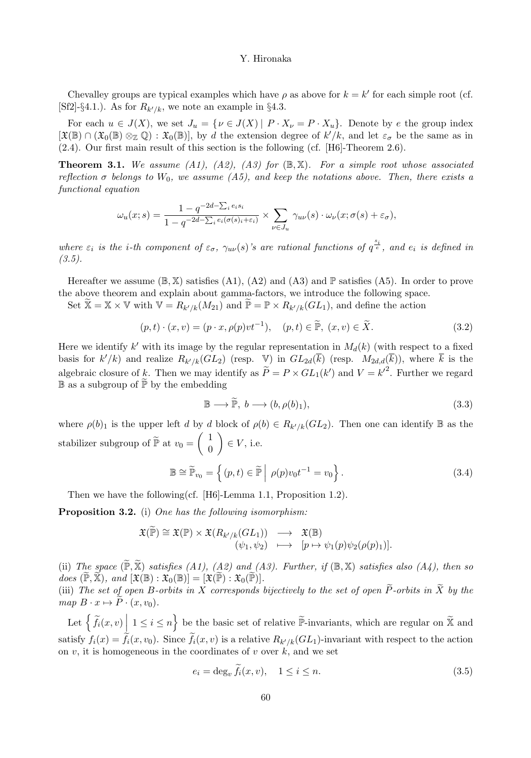Chevalley groups are typical examples which have  $\rho$  as above for  $k = k'$  for each simple root (cf. [Sf2]-§4.1.). As for  $R_{k'/k}$ , we note an example in §4.3.

For each  $u \in J(X)$ , we set  $J_u = \{v \in J(X) \mid P \cdot X_v = P \cdot X_u\}$ . Denote by e the group index  $[\mathfrak{X}(\mathbb{B}) \cap (\mathfrak{X}_0(\mathbb{B}) \otimes_{\mathbb{Z}} \mathbb{Q}) : \mathfrak{X}_0(\mathbb{B})]$ , by d the extension degree of  $k'/k$ , and let  $\varepsilon_{\sigma}$  be the same as in (2.4). Our first main result of this section is the following (cf. [H6]-Theorem 2.6).

**Theorem 3.1.** We assume (A1), (A2), (A3) for  $(\mathbb{B}, \mathbb{X})$ . For a simple root whose associated reflection  $\sigma$  belongs to  $W_0$ , we assume (A5), and keep the notations above. Then, there exists a functional equation

$$
\omega_u(x;s) = \frac{1 - q^{-2d - \sum_i e_i s_i}}{1 - q^{-2d - \sum_i e_i(\sigma(s)_i + \varepsilon_i)}} \times \sum_{\nu \in J_u} \gamma_{u\nu}(s) \cdot \omega_{\nu}(x; \sigma(s) + \varepsilon_\sigma),
$$

where  $\varepsilon_i$  is the *i*-th component of  $\varepsilon_{\sigma}$ ,  $\gamma_{uv}(s)$ 's are rational functions of  $q^{\frac{s_i}{e}}$ , and  $e_i$  is defined in  $(3.5).$ 

Hereafter we assume  $(\mathbb{B}, \mathbb{X})$  satisfies  $(A1)$ ,  $(A2)$  and  $(A3)$  and  $\mathbb{P}$  satisfies  $(A5)$ . In order to prove the above theorem and explain about gamma-factors, we introduce the following space.

Set  $\mathbb{X} = \mathbb{X} \times \mathbb{V}$  with  $\mathbb{V} = R_{k'/k}(M_{21})$  and  $\mathbb{P} = \mathbb{P} \times R_{k'/k}(GL_1)$ , and define the action

$$
(p,t)\cdot(x,v) = (p\cdot x, \rho(p)vt^{-1}), \quad (p,t) \in \widetilde{\mathbb{P}}, \ (x,v) \in \widetilde{X}.
$$

Here we identify k' with its image by the regular representation in  $M_d(k)$  (with respect to a fixed basis for  $k'/k$  and realize  $R_{k'/k}(GL_2)$  (resp. V) in  $GL_{2d}(k)$  (resp.  $M_{2d,d}(k)$ ), where k is the algebraic closure of k. Then we may identify as  $\widetilde{P} = P \times GL_1(k')$  and  $V = k'^2$ . Further we regard  $\mathbb B$  as a subgroup of  $\widetilde{\mathbb P}$  by the embedding

$$
\mathbb{B} \longrightarrow \widetilde{\mathbb{P}}, \ b \longrightarrow (b, \rho(b)_1), \tag{3.3}
$$

where  $\rho(b)_1$  is the upper left d by d block of  $\rho(b) \in R_{k'/k}(GL_2)$ . Then one can identify  $\mathbb B$  as the stabilizer subgroup of  $\mathbb{P}$  at  $v_0 =$  $(1)$ 0  $\setminus$  $\in V$ , i.e.

$$
\mathbb{B} \cong \widetilde{\mathbb{P}}_{v_0} = \left\{ (p, t) \in \widetilde{\mathbb{P}} \middle| \rho(p) v_0 t^{-1} = v_0 \right\}.
$$
 (3.4)

Then we have the following(cf. [H6]-Lemma 1.1, Proposition 1.2).

**Proposition 3.2.** (i) One has the following isomorphism:

$$
\mathfrak{X}(\widetilde{\mathbb{P}}) \cong \mathfrak{X}(\mathbb{P}) \times \mathfrak{X}(R_{k'/k}(GL_1)) \longrightarrow \mathfrak{X}(\mathbb{B})
$$
  

$$
(\psi_1, \psi_2) \longrightarrow [p \mapsto \psi_1(p)\psi_2(\rho(p)_1)].
$$

(ii) The space  $(\mathbb{P}, \mathbb{X})$  satisfies  $(A1)$ ,  $(A2)$  and  $(A3)$ . Further, if  $(\mathbb{B}, \mathbb{X})$  satisfies also  $(A4)$ , then so does  $(\mathbb{P}, \mathbb{X})$ , and  $[\mathfrak{X}(\mathbb{B}) : \mathfrak{X}_0(\mathbb{B})] = [\mathfrak{X}(\widetilde{\mathbb{P}}) : \mathfrak{X}_0(\widetilde{\mathbb{P}})].$ 

(iii) The set of open B-orbits in X corresponds bijectively to the set of open  $\widetilde{P}$ -orbits in  $\widetilde{X}$  by the map  $B \cdot x \mapsto \overline{P} \cdot (x, v_0)$ .

Let  $\left\{ \widetilde{f}_i(x,v) \middle| 1 \leq i \leq n \right\}$  be the basic set of relative  $\widetilde{\mathbb{P}}$ -invariants, which are regular on  $\widetilde{\mathbb{X}}$  and satisfy  $f_i(x) = f_i(x, v_0)$ . Since  $f_i(x, v)$  is a relative  $R_{k'/k}(GL_1)$ -invariant with respect to the action on  $v$ , it is homogeneous in the coordinates of  $v$  over  $k$ , and we set

$$
e_i = \deg_v f_i(x, v), \quad 1 \le i \le n. \tag{3.5}
$$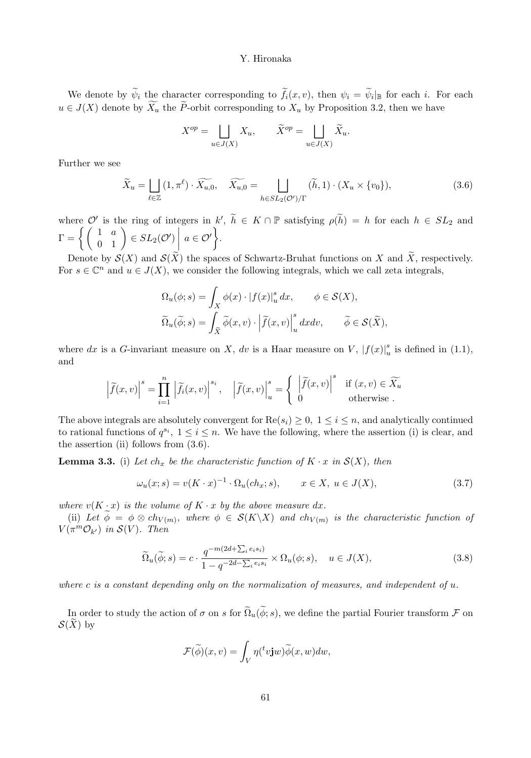We denote by  $\widetilde{\psi}_i$  the character corresponding to  $\widetilde{f}_i(x, v)$ , then  $\psi_i = \widetilde{\psi}_i|_{\mathbb{B}}$  for each i. For each  $u \in J(X)$  denote by  $\widetilde{X}_u$  the  $\widetilde{P}$ -orbit corresponding to  $X_u$  by Proposition 3.2, then we have

$$
X^{op} = \bigsqcup_{u \in J(X)} X_u, \qquad \widetilde{X}^{op} = \bigsqcup_{u \in J(X)} \widetilde{X}_u.
$$

Further we see

$$
\widetilde{X}_u = \bigsqcup_{\ell \in \mathbb{Z}} (1, \pi^{\ell}) \cdot \widetilde{X_{u,0}}, \quad \widetilde{X_{u,0}} = \bigsqcup_{h \in SL_2(\mathcal{O}')/\Gamma} (\widetilde{h}, 1) \cdot (X_u \times \{v_0\}), \tag{3.6}
$$

where  $\mathcal{O}'$  is the ring of integers in  $k'$ ,  $h \in K \cap \mathbb{P}$  satisfying  $\rho(h) = h$  for each  $h \in SL_2$  and  $\Gamma = \left\{ \left( \begin{array}{cc} 1 & a \ 0 & 1 \end{array} \right) \in SL_2(\mathcal{O}') \right\}$  $\Bigg| a \in \mathcal{O}'$  $\mathcal{L}$ .

Denote by  $\mathcal{S}(X)$  and  $\mathcal{S}(\widetilde{X})$  the spaces of Schwartz-Bruhat functions on X and  $\widetilde{X}$ , respectively. For  $s \in \mathbb{C}^n$  and  $u \in J(X)$ , we consider the following integrals, which we call zeta integrals,

$$
\begin{aligned} \Omega_u(\phi;s)&=\int_X \phi(x)\cdot\left|f(x)\right|_u^s dx,\qquad \phi\in\mathcal{S}(X),\\ \widetilde{\Omega}_u(\widetilde{\phi};s)&=\int_{\widetilde{X}}\widetilde{\phi}(x,v)\cdot\left|\widetilde{f}(x,v)\right|_u^s dxdv,\qquad \widetilde{\phi}\in\mathcal{S}(\widetilde{X}), \end{aligned}
$$

where dx is a G-invariant measure on X, dv is a Haar measure on V,  $|f(x)|_u^s$  is defined in (1.1), and

$$
\left|\widetilde{f}(x,v)\right|^s = \prod_{i=1}^n \left|\widetilde{f}_i(x,v)\right|^{s_i}, \quad \left|\widetilde{f}(x,v)\right|_u^s = \left\{\begin{array}{ll} \left|\widetilde{f}(x,v)\right|^s & \text{if } (x,v) \in \widetilde{X}_u\\ 0 & \text{otherwise} \end{array} \right.
$$

The above integrals are absolutely convergent for  $\text{Re}(s_i) \geq 0$ ,  $1 \leq i \leq n$ , and analytically continued to rational functions of  $q^{s_i}$ ,  $1 \le i \le n$ . We have the following, where the assertion (i) is clear, and the assertion (ii) follows from  $(3.6)$ .

**Lemma 3.3.** (i) Let  $ch_x$  be the characteristic function of  $K \cdot x$  in  $\mathcal{S}(X)$ , then

$$
\omega_u(x;s) = v(K \cdot x)^{-1} \cdot \Omega_u(ch_x;s), \qquad x \in X, \ u \in J(X), \tag{3.7}
$$

where  $v(K \cdot x)$  is the volume of  $K \cdot x$  by the above measure dx.

(ii) Let  $\phi = \phi \otimes ch_{V(m)}$ , where  $\phi \in \mathcal{S}(K \backslash X)$  and  $ch_{V(m)}$  is the characteristic function of  $V(\pi^m \mathcal{O}_{k'})$  in  $\mathcal{S}(V)$ . Then

$$
\widetilde{\Omega}_u(\widetilde{\phi};s) = c \cdot \frac{q^{-m(2d+\sum_i e_i s_i)}}{1-q^{-2d-\sum_i e_i s_i}} \times \Omega_u(\phi;s), \quad u \in J(X), \tag{3.8}
$$

where c is a constant depending only on the normalization of measures, and independent of  $u$ .

In order to study the action of  $\sigma$  on s for  $\tilde{\Omega}_u(\tilde{\phi}; s)$ , we define the partial Fourier transform  $\mathcal F$  on  $\mathcal{S}(\widetilde{X})$  by

$$
\mathcal{F}(\widetilde{\phi})(x,v) = \int_V \eta({}^tv \mathbf{j} w) \widetilde{\phi}(x,w) dw,
$$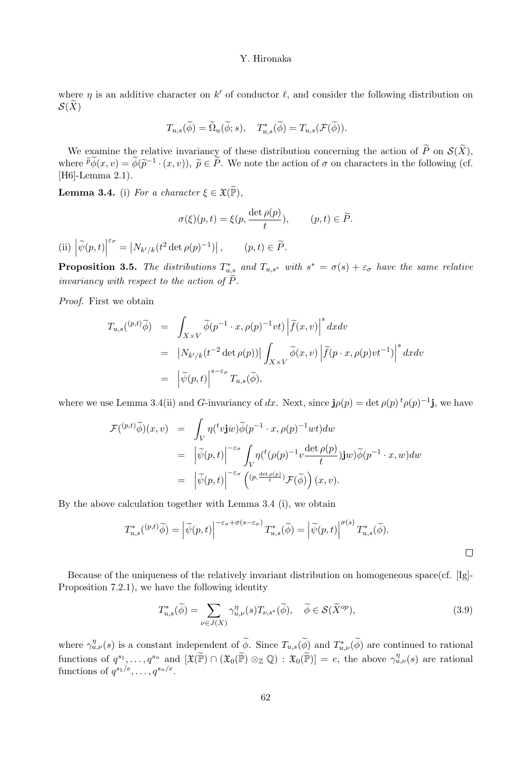where  $\eta$  is an additive character on k' of conductor  $\ell$ , and consider the following distribution on  $\mathcal{S}(\widetilde{X})$ 

$$
T_{u,s}(\widetilde{\phi}) = \widetilde{\Omega}_u(\widetilde{\phi}; s), \quad T_{u,s}^*(\widetilde{\phi}) = T_{u,s}(\mathcal{F}(\widetilde{\phi})).
$$

We examine the relative invariancy of these distribution concerning the action of  $\widetilde{P}$  on  $\mathcal{S}(\widetilde{X})$ , where  $\tilde{p}\phi(x, v) = \phi(\tilde{p}^{-1} \cdot (x, v)), \ \tilde{p} \in \tilde{P}$ . We note the action of  $\sigma$  on characters in the following (cf. [H6]-Lemma 2.1).

**Lemma 3.4.** (i) For a character  $\xi \in \mathfrak{X}(\widetilde{\mathbb{P}})$ ,

$$
\sigma(\xi)(p,t) = \xi(p, \frac{\det \rho(p)}{t}), \qquad (p,t) \in \widetilde{P}.
$$

(ii)  $\left| \widetilde{\psi}(p,t) \right|$  $^{\varepsilon_{\sigma}} = |N_{k'/k}(t^2 \det \rho(p)^{-1})|, \quad (p, t) \in \widetilde{P}.$ 

**Proposition 3.5.** The distributions  $T_{u,s}^*$  and  $T_{u,s^*}$  with  $s^* = \sigma(s) + \varepsilon_\sigma$  have the same relative invariancy with respect to the action of  $\overline{P}$ .

Proof. First we obtain

$$
T_{u,s}({}^{(p,t)}\widetilde{\phi}) = \int_{X\times V} \widetilde{\phi}(p^{-1}\cdot x, \rho(p)^{-1}vt) \left| \widetilde{f}(x,v) \right|^s dxdv
$$
  
\n
$$
= |N_{k'/k}(t^{-2}\det\rho(p))| \int_{X\times V} \widetilde{\phi}(x,v) \left| \widetilde{f}(p\cdot x, \rho(p)vt^{-1}) \right|^s dxdv
$$
  
\n
$$
= |\widetilde{\psi}(p,t)|^{s-\varepsilon\sigma} T_{u,s}(\widetilde{\phi}),
$$

where we use Lemma 3.4(ii) and G-invariancy of dx. Next, since  $\mathbf{j}\rho(p) = \det \rho(p)^t \rho(p)^{-1} \mathbf{j}$ , we have

$$
\mathcal{F}({}^{(p,t)}\widetilde{\phi})(x,v) = \int_{V} \eta({}^{t}v \mathbf{j}w) \widetilde{\phi}(p^{-1} \cdot x, \rho(p)^{-1}wt) dw
$$
  
\n
$$
= \left| \widetilde{\psi}(p,t) \right|^{-\varepsilon_{\sigma}} \int_{V} \eta({}^{t}(\rho(p)^{-1}v \frac{\det \rho(p)}{t}) \mathbf{j}w) \widetilde{\phi}(p^{-1} \cdot x, w) dw
$$
  
\n
$$
= \left| \widetilde{\psi}(p,t) \right|^{-\varepsilon_{\sigma}} \left( \frac{(p, \frac{\det \rho(p)}{t})}{\varepsilon_{\sigma}} \mathcal{F}(\widetilde{\phi}) \right) (x, v).
$$

By the above calculation together with Lemma 3.4 (i), we obtain

$$
T_{u,s}^*(\n{\mathcal{D}},\widetilde{\phi}) = \left| \widetilde{\psi}(p,t) \right|^{-\varepsilon_{\sigma} + \sigma(s-\varepsilon_{\sigma})} T_{u,s}^*(\widetilde{\phi}) = \left| \widetilde{\psi}(p,t) \right|^{\sigma(s)} T_{u,s}^*(\widetilde{\phi}).
$$

Because of the uniqueness of the relatively invariant distribution on homogeneous space(cf. [Ig]- Proposition 7.2.1), we have the following identity

$$
T_{u,s}^*(\widetilde{\phi}) = \sum_{\nu \in J(X)} \gamma_{u,\nu}^{\eta}(s) T_{\nu,s^*}(\widetilde{\phi}), \quad \widetilde{\phi} \in \mathcal{S}(\widetilde{X}^{op}), \tag{3.9}
$$

where  $\gamma_{u,\nu}^{\eta}(s)$  is a constant independent of  $\widetilde{\phi}$ . Since  $T_{u,s}(\widetilde{\phi})$  and  $T_{u,\nu}^{*}(\widetilde{\phi})$  are continued to rational functions of  $q^{s_1}, \ldots, q^{s_n}$  and  $[\mathfrak{X}(\widetilde{\mathbb{P}}) \cap (\mathfrak{X}_0(\widetilde{\mathbb{P}}) \otimes_{\mathbb{Z}} \mathbb{Q}) : \mathfrak{X}_0(\widetilde{\mathbb{P}})] = e$ , the above  $\gamma_{u,\nu}^{\eta}(s)$  are rational functions of  $q^{s_1/e}, \ldots, q^{s_n/e}$ .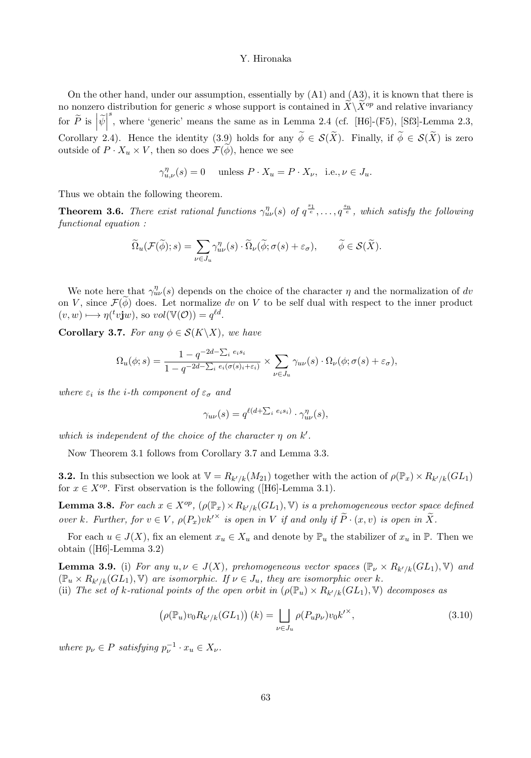On the other hand, under our assumption, essentially by  $(A1)$  and  $(A3)$ , it is known that there is no nonzero distribution for generic s whose support is contained in  $\ddot{X}\backslash\ddot{X}^{op}$  and relative invariancy for  $\widetilde{P}$  is  $\left|\widetilde{\psi}\right|$ s, where 'generic' means the same as in Lemma 2.4 (cf. [H6]-(F5), [Sf3]-Lemma 2.3, Corollary 2.4). Hence the identity (3.9) holds for any  $\widetilde{\phi} \in \mathcal{S}(\widetilde{X})$ . Finally, if  $\widetilde{\phi} \in \mathcal{S}(\widetilde{X})$  is zero outside of  $P \cdot X_u \times V$ , then so does  $\mathcal{F}(\phi)$ , hence we see

$$
\gamma_{u,\nu}^\eta(s)=0\quad \text{ unless } P\cdot X_u=P\cdot X_\nu,\;\; \text{i.e.,}\, \nu\in J_u.
$$

Thus we obtain the following theorem.

**Theorem 3.6.** There exist rational functions  $\gamma_{uv}^{\eta}(s)$  of  $q^{\frac{s_1}{e}}, \ldots, q^{\frac{s_n}{e}}$ , which satisfy the following functional equation :

$$
\widetilde{\Omega}_u(\mathcal{F}(\widetilde{\phi});s) = \sum_{\nu \in J_u} \gamma_{u\nu}^{\eta}(s) \cdot \widetilde{\Omega}_{\nu}(\widetilde{\phi}; \sigma(s) + \varepsilon_{\sigma}), \qquad \widetilde{\phi} \in \mathcal{S}(\widetilde{X}).
$$

We note here that  $\gamma_{uv}^{\eta}(s)$  depends on the choice of the character  $\eta$  and the normalization of dv on V, since  $\mathcal{F}(\phi)$  does. Let normalize dv on V to be self dual with respect to the inner product  $(v, w) \longmapsto \eta({}^t v \mathbf{j} w)$ , so  $vol(\mathbb{V}(\mathcal{O})) = q^{\ell d}$ .

Corollary 3.7. For any  $\phi \in \mathcal{S}(K \backslash X)$ , we have

$$
\Omega_u(\phi;s) = \frac{1 - q^{-2d - \sum_i e_i s_i}}{1 - q^{-2d - \sum_i e_i(\sigma(s_i + \varepsilon_i))}} \times \sum_{\nu \in J_u} \gamma_{u\nu}(s) \cdot \Omega_{\nu}(\phi; \sigma(s) + \varepsilon_{\sigma}),
$$

where  $\varepsilon_i$  is the *i*-th component of  $\varepsilon_{\sigma}$  and

$$
\gamma_{u\nu}(s) = q^{\ell(d+\sum_i e_i s_i)} \cdot \gamma_{u\nu}^{\eta}(s),
$$

which is independent of the choice of the character  $\eta$  on  $k'$ .

Now Theorem 3.1 follows from Corollary 3.7 and Lemma 3.3.

**3.2.** In this subsection we look at  $V = R_{k'/k}(M_{21})$  together with the action of  $\rho(\mathbb{P}_x) \times R_{k'/k}(GL_1)$ for  $x \in X^{op}$ . First observation is the following ([H6]-Lemma 3.1).

**Lemma 3.8.** For each  $x \in X^{op}$ ,  $(\rho(\mathbb{P}_x) \times R_{k'/k}(GL_1), \mathbb{V})$  is a prehomogeneous vector space defined over k. Further, for  $v \in V$ ,  $\rho(P_x)v k^{\prime \times}$  is open in V if and only if  $P \cdot (x, v)$  is open in X.

For each  $u \in J(X)$ , fix an element  $x_u \in X_u$  and denote by  $\mathbb{P}_u$  the stabilizer of  $x_u$  in  $\mathbb{P}$ . Then we obtain ([H6]-Lemma 3.2)

**Lemma 3.9.** (i) For any  $u, v \in J(X)$ , prehomogeneous vector spaces  $(\mathbb{P}_{\nu} \times R_{k'/k}(GL_1), \mathbb{V})$  and  $(\mathbb{P}_u \times R_{k'/k}(GL_1), \mathbb{V})$  are isomorphic. If  $\nu \in J_u$ , they are isomorphic over k.

(ii) The set of k-rational points of the open orbit in  $(\rho(\mathbb{P}_u) \times R_{k'/k}(GL_1), \mathbb{V})$  decomposes as

$$
\left(\rho(\mathbb{P}_u)v_0 R_{k'/k}(GL_1)\right)(k) = \bigsqcup_{\nu \in J_u} \rho(P_u p_\nu) v_0 {k'}^\times,
$$
\n(3.10)

where  $p_{\nu} \in P$  satisfying  $p_{\nu}^{-1} \cdot x_u \in X_{\nu}$ .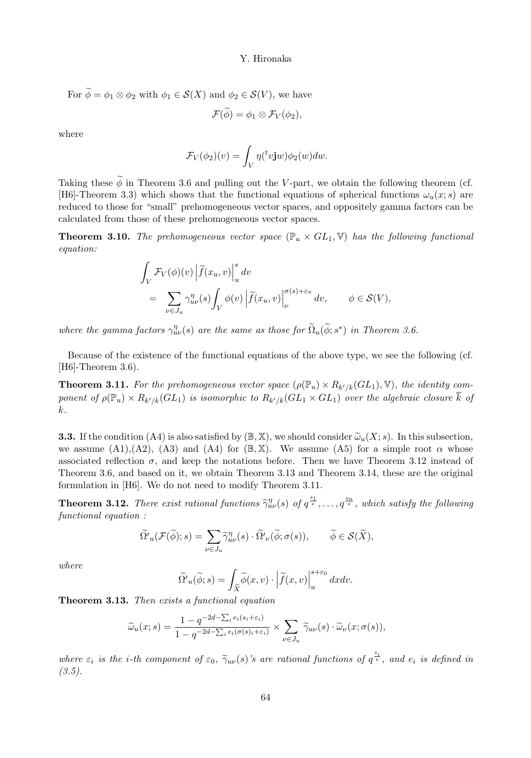For 
$$
\phi = \phi_1 \otimes \phi_2
$$
 with  $\phi_1 \in \mathcal{S}(X)$  and  $\phi_2 \in \mathcal{S}(V)$ , we have

$$
\mathcal{F}(\phi)=\phi_1\otimes \mathcal{F}_V(\phi_2),
$$

where

$$
\mathcal{F}_V(\phi_2)(v) = \int_V \eta({}^t v \mathbf{j}w) \phi_2(w) dw.
$$

Taking these  $\widetilde{\phi}$  in Theorem 3.6 and pulling out the V-part, we obtain the following theorem (cf. [H6]-Theorem 3.3) which shows that the functional equations of spherical functions  $\omega_u(x; s)$  are reduced to those for "small" prehomogeneous vector spaces, and oppositely gamma factors can be calculated from those of these prehomogeneous vector spaces.

**Theorem 3.10.** The prehomogeneous vector space  $(\mathbb{P}_u \times GL_1, \mathbb{V})$  has the following functional equation:

$$
\int_{V} \mathcal{F}_{V}(\phi)(v) \left| \tilde{f}(x_{u}, v) \right|_{u}^{s} dv\n= \sum_{\nu \in J_{u}} \gamma_{u\nu}^{\eta}(s) \int_{V} \phi(v) \left| \tilde{f}(x_{u}, v) \right|_{\nu}^{\sigma(s) + \varepsilon_{\sigma}} dv, \qquad \phi \in \mathcal{S}(V),
$$

where the gamma factors  $\gamma_{uv}^{\eta}(s)$  are the same as those for  $\tilde{\Omega}_u(\tilde{\phi};s^*)$  in Theorem 3.6.

Because of the existence of the functional equations of the above type, we see the following (cf. [H6]-Theorem 3.6).

**Theorem 3.11.** For the prehomogeneous vector space  $(\rho(\mathbb{P}_u) \times R_{k'/k}(GL_1), \mathbb{V})$ , the identity component of  $\rho(\mathbb{P}_u) \times R_{k'/k}(GL_1)$  is isomorphic to  $R_{k'/k}(GL_1 \times GL_1)$  over the algebraic closure  $k$  of k.

**3.3.** If the condition (A4) is also satisfied by  $(\mathbb{B}, \mathbb{X})$ , we should consider  $\tilde{\omega}_u(X; s)$ . In this subsection, we assume (A1),(A2), (A3) and (A4) for  $(\mathbb{B}, \mathbb{X})$ . We assume (A5) for a simple root  $\alpha$  whose associated reflection  $\sigma$ , and keep the notations before. Then we have Theorem 3.12 instead of Theorem 3.6, and based on it, we obtain Theorem 3.13 and Theorem 3.14, these are the original formulation in [H6]. We do not need to modify Theorem 3.11.

**Theorem 3.12.** There exist rational functions  $\tilde{\gamma}_{uv}^{\eta}(s)$  of  $q^{\frac{s_1}{e}}, \ldots, q^{\frac{s_n}{e}}$ , which satisfy the following functional equation :

$$
\widetilde{\Omega'}_u(\mathcal{F}(\widetilde{\phi});s) = \sum_{\nu \in J_u} \widetilde{\gamma}^{\eta}_{uv}(s) \cdot \widetilde{\Omega'}_\nu(\widetilde{\phi}; \sigma(s)), \qquad \widetilde{\phi} \in \mathcal{S}(\widetilde{X}),
$$

where

$$
\widetilde{\Omega'}_u(\widetilde{\phi};s) = \int_{\widetilde{X}} \widetilde{\phi}(x,v) \cdot \left| \widetilde{f}(x,v) \right|_u^{s+\varepsilon_0} dx dv.
$$

Theorem 3.13. Then exists a functional equation

$$
\widetilde{\omega}_u(x;s) = \frac{1 - q^{-2d - \sum_i e_i(s_i + \varepsilon_i)}}{1 - q^{-2d - \sum_i e_i(\sigma(s_i + \varepsilon_i))}} \times \sum_{\nu \in J_u} \widetilde{\gamma}_{u\nu}(s) \cdot \widetilde{\omega}_{\nu}(x;\sigma(s)),
$$

where  $\varepsilon_i$  is the *i*-th component of  $\varepsilon_0$ ,  $\widetilde{\gamma}_{uv}(s)$ 's are rational functions of  $q^{\frac{s_i}{e}}$ , and  $e_i$  is defined in  $(3.5).$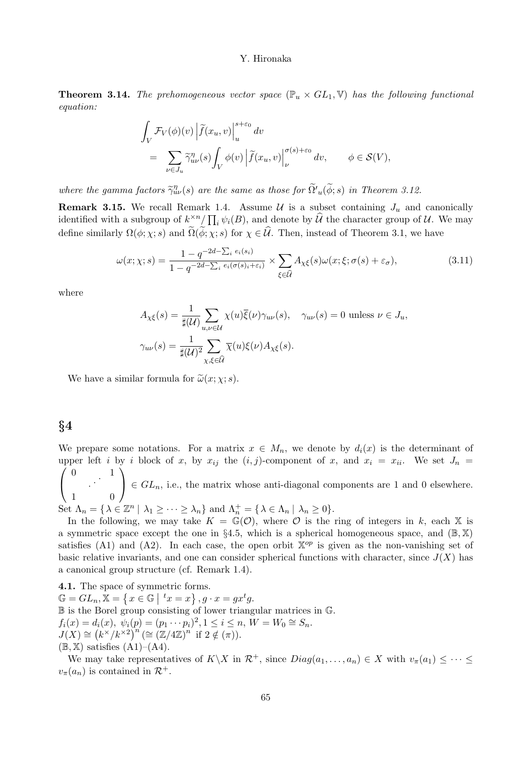**Theorem 3.14.** The prehomogeneous vector space  $(\mathbb{P}_u \times GL_1, \mathbb{V})$  has the following functional equation:

$$
\begin{aligned} & \int_V \mathcal{F}_V(\phi)(v) \left| \tilde{f}(x_u, v) \right|_u^{s+\varepsilon_0} dv \\ & = \sum_{\nu \in J_u} \tilde{\gamma}_{u\nu}^{\eta}(s) \int_V \phi(v) \left| \tilde{f}(x_u, v) \right|_{\nu}^{\sigma(s)+\varepsilon_0} dv, \qquad \phi \in \mathcal{S}(V), \end{aligned}
$$

where the gamma factors  $\widetilde{\gamma}_{uv}^{\eta}(s)$  are the same as those for  $\widetilde{\Omega}'_u(\widetilde{\phi};s)$  in Theorem 3.12.

**Remark 3.15.** We recall Remark 1.4. Assume  $\mathcal{U}$  is a subset containing  $J_u$  and canonically identified with a subgroup of  $k^{\times n}_{\sim} / \prod_i \psi_i(B)$ , and denote by  $\hat{\mathcal{U}}$  the character group of  $\mathcal{U}$ . We may define similarly  $\Omega(\phi; \chi; s)$  and  $\widetilde{\Omega}(\widetilde{\phi}; \chi; s)$  for  $\chi \in \widehat{\mathcal{U}}$ . Then, instead of Theorem 3.1, we have

$$
\omega(x; \chi; s) = \frac{1 - q^{-2d - \sum_i e_i(s_i)}}{1 - q^{-2d - \sum_i e_i(\sigma(s_i) + \varepsilon_i)}} \times \sum_{\xi \in \widehat{\mathcal{U}}} A_{\chi\xi}(s) \omega(x; \xi; \sigma(s) + \varepsilon_{\sigma}), \tag{3.11}
$$

where

$$
A_{\chi\xi}(s) = \frac{1}{\sharp(\mathcal{U})} \sum_{u,\nu \in \mathcal{U}} \chi(u)\overline{\xi}(\nu)\gamma_{u\nu}(s), \quad \gamma_{u\nu}(s) = 0 \text{ unless } \nu \in J_u,
$$
  

$$
\gamma_{u\nu}(s) = \frac{1}{\sharp(\mathcal{U})^2} \sum_{\chi,\xi \in \widehat{\mathcal{U}}} \overline{\chi}(u)\xi(\nu)A_{\chi\xi}(s).
$$

We have a similar formula for  $\tilde{\omega}(x; \chi; s)$ .

## §4

We prepare some notations. For a matrix  $x \in M_n$ , we denote by  $d_i(x)$  is the determinant of upper left i by i block of x, by  $x_{ij}$  the  $(i, j)$ -component of x, and  $x_i = x_{ii}$ . We set  $J_n =$ 0 1  $\setminus$ 

 $\mathbf{I}$  $\begin{array}{ccc} & . \ \cdot & \ \cdot & \ \cdot & \ \cdot & \ \cdot & \ \cdot & \ \end{array}$  $\in GL_n$ , i.e., the matrix whose anti-diagonal components are 1 and 0 elsewhere.

Set  $\Lambda_n = \{ \lambda \in \mathbb{Z}^n \mid \lambda_1 \geq \cdots \geq \lambda_n \}$  and  $\Lambda_n^+ = \{ \lambda \in \Lambda_n \mid \lambda_n \geq 0 \}.$ 

In the following, we may take  $K = \mathbb{G}(\mathcal{O})$ , where  $\mathcal O$  is the ring of integers in k, each X is a symmetric space except the one in §4.5, which is a spherical homogeneous space, and  $(\mathbb{B}, \mathbb{X})$ satisfies (A1) and (A2). In each case, the open orbit  $\mathbb{X}^{op}$  is given as the non-vanishing set of basic relative invariants, and one can consider spherical functions with character, since  $J(X)$  has a canonical group structure (cf. Remark 1.4).

4.1. The space of symmetric forms.  $\mathbb{G} = GL_n, \mathbb{X} = \left\{ x \in \mathbb{G} \mid {}^t x = x \right\}, g \cdot x = gx^t g.$ B is the Borel group consisting of lower triangular matrices in G.  $f_i(x) = d_i(x), \ \psi_i(p) = (p_1 \cdots p_i)^2, 1 \leq i \leq n, \ W = W_0 \cong S_n.$  $J(X) \cong (k^{\times}/k^{\times 2})^n \cong (\mathbb{Z}/4\mathbb{Z})^n$  if  $2 \notin (\pi)$ .  $(\mathbb{B}, \mathbb{X})$  satisfies  $(A1)$ – $(A4)$ .

We may take representatives of  $K\setminus X$  in  $\mathcal{R}^+$ , since  $Diag(a_1, \ldots, a_n) \in X$  with  $v_\pi(a_1) \leq \cdots \leq$  $v_{\pi}(a_n)$  is contained in  $\mathcal{R}^+$ .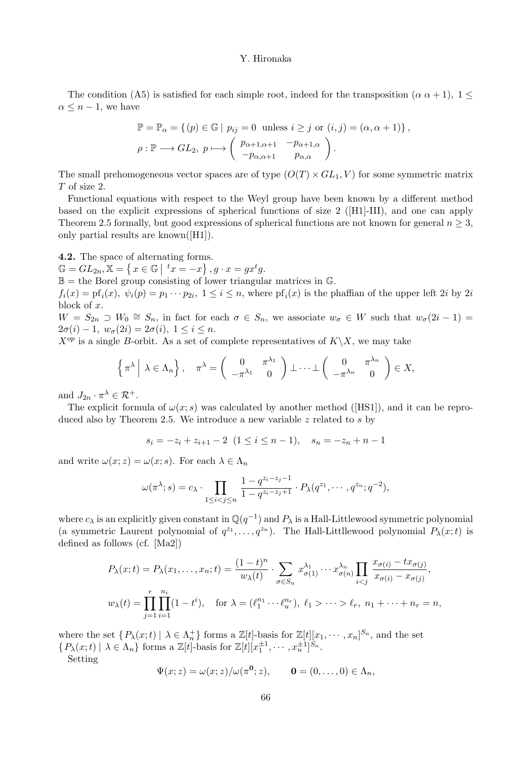The condition (A5) is satisfied for each simple root, indeed for the transposition ( $\alpha \alpha + 1$ ),  $1 \leq$  $\alpha \leq n-1$ , we have

$$
\mathbb{P} = \mathbb{P}_{\alpha} = \{ (p) \in \mathbb{G} \mid p_{ij} = 0 \text{ unless } i \geq j \text{ or } (i, j) = (\alpha, \alpha + 1) \},\
$$
  

$$
\rho : \mathbb{P} \longrightarrow GL_2, p \longmapsto \begin{pmatrix} p_{\alpha+1,\alpha+1} & -p_{\alpha+1,\alpha} \\ -p_{\alpha,\alpha+1} & p_{\alpha,\alpha} \end{pmatrix}.
$$

The small prehomogeneous vector spaces are of type  $(O(T) \times GL_1, V)$  for some symmetric matrix T of size 2.

Functional equations with respect to the Weyl group have been known by a different method based on the explicit expressions of spherical functions of size 2 ([H1]-III), and one can apply Theorem 2.5 formally, but good expressions of spherical functions are not known for general  $n \geq 3$ , only partial results are known([H1]).

4.2. The space of alternating forms.

 $\mathbb{G} = GL_{2n}, \mathbb{X} = \{x \in \mathbb{G} \mid {}^t x = -x\}, g \cdot x = gx^t g.$ 

 $\mathbb{B} =$  the Borel group consisting of lower triangular matrices in  $\mathbb{G}$ .

 $f_i(x) = \text{pf}_i(x), \ \psi_i(p) = p_1 \cdots p_{2i}, \ 1 \leq i \leq n, \text{ where } \text{pf}_i(x) \text{ is the phaffian of the upper left } 2i \text{ by } 2i$ block of x.

 $W = S_{2n} \supset W_0 \cong S_n$ , in fact for each  $\sigma \in S_n$ , we associate  $w_{\sigma} \in W$  such that  $w_{\sigma}(2i-1) =$  $2\sigma(i) - 1$ ,  $w_{\sigma}(2i) = 2\sigma(i)$ ,  $1 \leq i \leq n$ .

 $X^{op}$  is a single B-orbit. As a set of complete representatives of  $K\backslash X$ , we may take

$$
\left\{\pi^{\lambda}\middle|\lambda\in\Lambda_n\right\},\quad \pi^{\lambda}=\left(\begin{array}{cc}0&\pi^{\lambda_1}\\-\pi^{\lambda_1}&0\end{array}\right)\perp\cdots\perp\left(\begin{array}{cc}0&\pi^{\lambda_n}\\-\pi^{\lambda_n}&0\end{array}\right)\in X,
$$

and  $J_{2n} \cdot \pi^{\lambda} \in \mathcal{R}^+$ .

The explicit formula of  $\omega(x; s)$  was calculated by another method ([HS1]), and it can be reproduced also by Theorem 2.5. We introduce a new variable  $z$  related to s by

$$
s_i = -z_i + z_{i+1} - 2 \ (1 \le i \le n-1), \quad s_n = -z_n + n - 1
$$

and write  $\omega(x; z) = \omega(x; s)$ . For each  $\lambda \in \Lambda_n$ 

$$
\omega(\pi^{\lambda}; s) = c_{\lambda} \cdot \prod_{1 \leq i < j \leq n} \frac{1 - q^{z_i - z_j - 1}}{1 - q^{z_i - z_j + 1}} \cdot P_{\lambda}(q^{z_1}, \cdots, q^{z_n}; q^{-2}),
$$

where  $c_{\lambda}$  is an explicitly given constant in  $\mathbb{Q}(q^{-1})$  and  $P_{\lambda}$  is a Hall-Littlewood symmetric polynomial (a symmetric Laurent polynomial of  $q^{z_1}, \ldots, q^{z_n}$ ). The Hall-Littllewood polynomial  $P_\lambda(x;t)$  is defined as follows (cf. [Ma2])

$$
P_{\lambda}(x;t) = P_{\lambda}(x_1, ..., x_n; t) = \frac{(1-t)^n}{w_{\lambda}(t)} \cdot \sum_{\sigma \in S_n} x_{\sigma(1)}^{\lambda_1} \cdots x_{\sigma(n)}^{\lambda_n} \prod_{i < j} \frac{x_{\sigma(i)} - tx_{\sigma(j)}}{x_{\sigma(i)} - x_{\sigma(j)}},
$$
  

$$
w_{\lambda}(t) = \prod_{j=1}^r \prod_{i=1}^{n_i} (1-t^i), \quad \text{for } \lambda = (\ell_1^{n_1} \cdots \ell_u^{n_r}), \ \ell_1 > \cdots > \ell_r, \ n_1 + \cdots + n_r = n,
$$

where the set  $\{P_\lambda(x;t) \mid \lambda \in \Lambda_n^+\}$  forms a  $\mathbb{Z}[t]$ -basis for  $\mathbb{Z}[t][x_1,\dots,x_n]^{S_n}$ , and the set  $\{P_\lambda(x;t) \mid \lambda \in \Lambda_n\}$  forms a  $\mathbb{Z}[t]$ -basis for  $\mathbb{Z}[t][x_1^{\pm 1}, \cdots, x_n^{\pm 1}]^{S_n}$ .

Setting

$$
\Psi(x; z) = \omega(x; z) / \omega(\pi^0; z), \qquad \mathbf{0} = (0, \dots, 0) \in \Lambda_n,
$$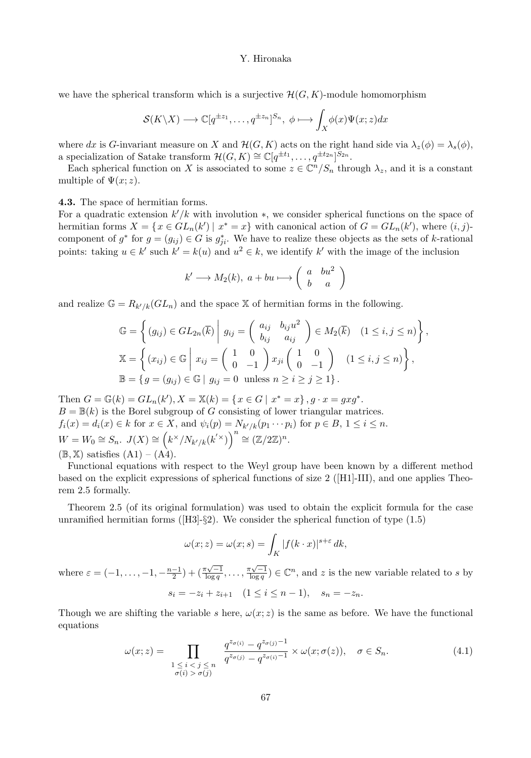we have the spherical transform which is a surjective  $\mathcal{H}(G, K)$ -module homomorphism

$$
\mathcal{S}(K\backslash X)\longrightarrow \mathbb{C}[q^{\pm z_1},\ldots,q^{\pm z_n}]^{S_n},\ \phi\longmapsto \int_X\phi(x)\Psi(x;z)dx
$$

where dx is G-invariant measure on X and  $\mathcal{H}(G, K)$  acts on the right hand side via  $\lambda_z(\phi) = \lambda_s(\phi)$ , a specialization of Satake transform  $\mathcal{H}(G,K) \cong \mathbb{C}[q^{\pm t_1}, \ldots, q^{\pm t_{2n}}]^{S_{2n}}$ .

Each spherical function on X is associated to some  $z \in \mathbb{C}^n/S_n$  through  $\lambda_z$ , and it is a constant multiple of  $\Psi(x; z)$ .

#### 4.3. The space of hermitian forms.

For a quadratic extension  $k'/k$  with involution  $*$ , we consider spherical functions on the space of hermitian forms  $X = \{x \in GL_n(k') \mid x^* = x\}$  with canonical action of  $G = GL_n(k')$ , where  $(i, j)$ component of  $g^*$  for  $g = (g_{ij}) \in G$  is  $g_{ji}^*$ . We have to realize these objects as the sets of k-rational points: taking  $u \in k'$  such  $k' = k(u)$  and  $u^2 \in k$ , we identify  $k'$  with the image of the inclusion

$$
k' \longrightarrow M_2(k), \ a + bu \longmapsto \left(\begin{array}{cc} a & bu^2 \\ b & a \end{array}\right)
$$

and realize  $\mathbb{G} = R_{k'/k}(GL_n)$  and the space X of hermitian forms in the following.

$$
\mathbb{G} = \left\{ (g_{ij}) \in GL_{2n}(\overline{k}) \middle| g_{ij} = \begin{pmatrix} a_{ij} & b_{ij}u^2 \\ b_{ij} & a_{ij} \end{pmatrix} \in M_2(\overline{k}) \quad (1 \le i, j \le n) \right\},
$$
  
\n
$$
\mathbb{X} = \left\{ (x_{ij}) \in \mathbb{G} \middle| x_{ij} = \begin{pmatrix} 1 & 0 \\ 0 & -1 \end{pmatrix} x_{ji} \begin{pmatrix} 1 & 0 \\ 0 & -1 \end{pmatrix} \quad (1 \le i, j \le n) \right\},
$$
  
\n
$$
\mathbb{B} = \left\{ g = (g_{ij}) \in \mathbb{G} \middle| g_{ij} = 0 \text{ unless } n \ge i \ge j \ge 1 \right\}.
$$

Then  $G = \mathbb{G}(k) = GL_n(k'), X = \mathbb{X}(k) = \{x \in G \mid x^* = x\}, g \cdot x = gxg^*.$  $B = \mathbb{B}(k)$  is the Borel subgroup of G consisting of lower triangular matrices.  $f_i(x) = d_i(x) \in k$  for  $x \in X$ , and  $\psi_i(p) = N_{k'/k}(p_1 \cdots p_i)$  for  $p \in B, 1 \le i \le n$ .  $W = W_0 \cong S_n$ .  $J(X) \cong (k^\times/N_{k'/k}(k'^\times))^{n} \cong (\mathbb{Z}/2\mathbb{Z})^n$ .  $(\mathbb{B}, \mathbb{X})$  satisfies  $(A1) - (A4)$ .

Functional equations with respect to the Weyl group have been known by a different method based on the explicit expressions of spherical functions of size 2 ([H1]-III), and one applies Theorem 2.5 formally.

Theorem 2.5 (of its original formulation) was used to obtain the explicit formula for the case unramified hermitian forms ( $[H3]-\$2$ ). We consider the spherical function of type  $(1.5)$ 

$$
\omega(x; z) = \omega(x; s) = \int_K |f(k \cdot x)|^{s+\varepsilon} dk,
$$

where  $\varepsilon = (-1, \ldots, -1, -\frac{n-1}{2}) + (\frac{\pi\sqrt{-1}}{\log q}, \ldots, \frac{\pi\sqrt{-1}}{\log q}) \in \mathbb{C}^n$ , and z is the new variable related to s by  $s_i = -z_i + z_{i+1}$   $(1 \leq i \leq n-1), s_n = -z_n$ .

Though we are shifting the variable s here,  $\omega(x; z)$  is the same as before. We have the functional equations

$$
\omega(x;z) = \prod_{\substack{1 \le i < j \le n \\ \sigma(i) > \sigma(j)}} \frac{q^{z_{\sigma(i)}} - q^{z_{\sigma(j)}}^{-1}}{q^{z_{\sigma(j)}} - q^{z_{\sigma(i)} - 1}} \times \omega(x;\sigma(z)), \quad \sigma \in S_n. \tag{4.1}
$$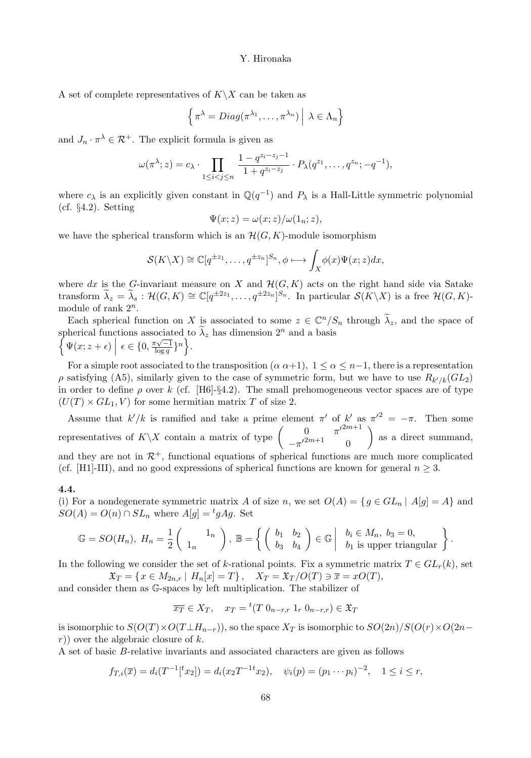A set of complete representatives of  $K\setminus X$  can be taken as

$$
\left\{ \pi^{\lambda} = Diag(\pi^{\lambda_1}, \dots, \pi^{\lambda_n}) \middle| \lambda \in \Lambda_n \right\}
$$

and  $J_n \cdot \pi^{\lambda} \in \mathcal{R}^+$ . The explicit formula is given as

$$
\omega(\pi^{\lambda}; z) = c_{\lambda} \cdot \prod_{1 \leq i < j \leq n} \frac{1 - q^{z_i - z_j - 1}}{1 + q^{z_i - z_j}} \cdot P_{\lambda}(q^{z_1}, \dots, q^{z_n}; -q^{-1}),
$$

where  $c_{\lambda}$  is an explicitly given constant in  $\mathbb{Q}(q^{-1})$  and  $P_{\lambda}$  is a Hall-Little symmetric polynomial (cf. §4.2). Setting

$$
\Psi(x; z) = \omega(x; z) / \omega(1_n; z),
$$

we have the spherical transform which is an  $\mathcal{H}(G, K)$ -module isomorphism

$$
\mathcal{S}(K\backslash X)\cong \mathbb{C}[q^{\pm z_1},\ldots,q^{\pm z_n}]^{S_n},\phi\longmapsto \int_X\phi(x)\Psi(x;z)dx,
$$

where dx is the G-invariant measure on X and  $\mathcal{H}(G, K)$  acts on the right hand side via Satake transform  $\lambda_z = \lambda_s : \mathcal{H}(G,K) \cong \mathbb{C}[q^{\pm 2z_1}, \ldots, q^{\pm 2z_n}]^{S_n}$ . In particular  $\mathcal{S}(K\setminus X)$  is a free  $\mathcal{H}(G,K)$ module of rank  $2^n$ .

Each spherical function on X is associated to some  $z \in \mathbb{C}^n/S_n$  through  $\lambda_z$ , and the space of spherical functions associated to  $\tilde{\lambda}_z$  has dimension  $2^n$ and a basis  $\Psi(x; z + \epsilon) \mid \epsilon \in \{0, \frac{\pi\sqrt{-1}}{\log q}\}^n \Big\}.$ 

For a simple root associated to the transposition  $(\alpha \alpha+1)$ ,  $1 \leq \alpha \leq n-1$ , there is a representation  $ρ$  satisfying (A5), similarly given to the case of symmetric form, but we have to use  $R_{k'/k}(GL_2)$ in order to define  $\rho$  over k (cf. [H6]-§4.2). The small prehomogeneous vector spaces are of type  $(U(T) \times GL_1, V)$  for some hermitian matrix T of size 2.

Assume that  $k'/k$  is ramified and take a prime element  $\pi'$  of  $k'$  as  ${\pi'}^2 = -\pi$ . Then some representatives of  $K\backslash X$  contain a matrix of type  $\begin{pmatrix} 0 & \pi'^{2m+1} \\ -\pi'^{2m+1} & 0 \end{pmatrix}$  $-\pi'^{2m+1}$  0  $\setminus$ as a direct summand, and they are not in  $\mathcal{R}^+$ , functional equations of spherical functions are much more complicated (cf. [H1]-III), and no good expressions of spherical functions are known for general  $n \geq 3$ .

#### 4.4.

(i) For a nondegenerate symmetric matrix A of size n, we set  $O(A) = \{ g \in GL_n \mid A[g] = A \}$  and  $SO(A) = O(n) \cap SL_n$  where  $A[g] = {}^t g A g$ . Set

$$
\mathbb{G} = SO(H_n), \ H_n = \frac{1}{2} \begin{pmatrix} 1_n \\ 1_n \end{pmatrix}, \ \mathbb{B} = \left\{ \begin{pmatrix} b_1 & b_2 \\ b_3 & b_4 \end{pmatrix} \in \mathbb{G} \middle| \begin{array}{c} b_i \in M_n, \ b_3 = 0, \\ b_1 \text{ is upper triangular} \end{array} \right\}.
$$

In the following we consider the set of k-rational points. Fix a symmetric matrix  $T \in GL_r(k)$ , set

 $\mathfrak{X}_T = \{x \in M_{2n,r} \mid H_n[x] = T\}, \quad X_T = \mathfrak{X}_T / O(T) \ni \overline{x} = xO(T),$ 

and consider them as G-spaces by left multiplication. The stabilizer of

$$
\overline{x_T} \in X_T, \quad x_T = {}^t(T \ 0_{n-r,r} \ 1_r \ 0_{n-r,r}) \in \mathfrak{X}_T
$$

is isomorphic to  $S(O(T) \times O(T \perp H_{n-r}))$ , so the space  $X_T$  is isomorphic to  $SO(2n)/S(O(r) \times O(2n$  $r)$  over the algebraic closure of k.

A set of basic B-relative invariants and associated characters are given as follows

$$
f_{T,i}(\overline{x}) = d_i(T^{-1}[{}^t x_2]) = d_i(x_2 T^{-1}{}^t x_2), \quad \psi_i(p) = (p_1 \cdots p_i)^{-2}, \quad 1 \leq i \leq r,
$$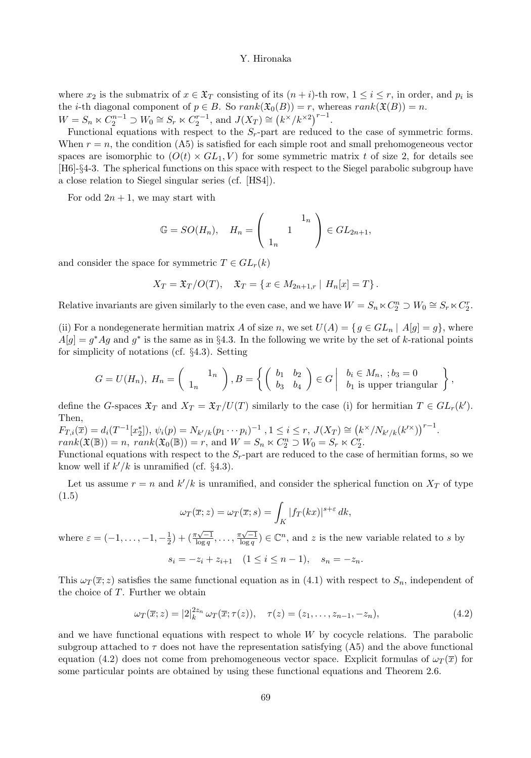where  $x_2$  is the submatrix of  $x \in \mathfrak{X}_T$  consisting of its  $(n+i)$ -th row,  $1 \leq i \leq r$ , in order, and  $p_i$  is the *i*-th diagonal component of  $p \in B$ . So  $rank(\mathfrak{X}_0(B)) = r$ , whereas  $rank(\mathfrak{X}(B)) = n$ .  $W = S_n \ltimes C_2^{n-1} \supset W_0 \cong S_r \ltimes C_2^{r-1}$ , and  $J(X_T) \cong (k \times / k \times 2)^{r-1}$ .

Functional equations with respect to the  $S_r$ -part are reduced to the case of symmetric forms. When  $r = n$ , the condition (A5) is satisfied for each simple root and small prehomogeneous vector spaces are isomorphic to  $(O(t) \times GL_1, V)$  for some symmetric matrix t of size 2, for details see [H6]-§4-3. The spherical functions on this space with respect to the Siegel parabolic subgroup have a close relation to Siegel singular series (cf. [HS4]).

For odd  $2n + 1$ , we may start with

$$
\mathbb{G} = SO(H_n), \quad H_n = \left( \begin{array}{c} 1_n \\ 1 \end{array} \right) \in GL_{2n+1},
$$

and consider the space for symmetric  $T \in GL_r(k)$ 

$$
X_T = \mathfrak{X}_T / O(T), \quad \mathfrak{X}_T = \{ x \in M_{2n+1,r} \mid H_n[x] = T \}.
$$

Relative invariants are given similarly to the even case, and we have  $W = S_n \ltimes C_2^n \supset W_0 \cong S_r \ltimes C_2^r$ .

(ii) For a nondegenerate hermitian matrix A of size n, we set  $U(A) = \{ g \in GL_n \mid A[g] = g \}$ , where  $A[g] = g^*Ag$  and  $g^*$  is the same as in §4.3. In the following we write by the set of k-rational points for simplicity of notations (cf. §4.3). Setting

$$
G = U(H_n), H_n = \begin{pmatrix} 1_n \\ 1_n \end{pmatrix}, B = \left\{ \begin{pmatrix} b_1 & b_2 \\ b_3 & b_4 \end{pmatrix} \in G \middle| \begin{array}{c} b_i \in M_n, \; ; b_3 = 0 \\ b_1 \text{ is upper triangular} \end{array} \right\},
$$

define the G-spaces  $\mathfrak{X}_T$  and  $X_T = \mathfrak{X}_T / U(T)$  similarly to the case (i) for hermitian  $T \in GL_r(k')$ . Then,

$$
F_{T,i}(\overline{x}) = d_i(T^{-1}[x_2^*]), \psi_i(p) = N_{k'/k}(p_1 \cdots p_i)^{-1}, 1 \le i \le r, J(X_T) \cong (k^{\times}/N_{k'/k}(k'^{\times}))^{r-1}.
$$
  

$$
rank(\mathfrak{X}(\mathbb{B})) = n, rank(\mathfrak{X}_0(\mathbb{B})) = r, \text{ and } W = S_n \ltimes C_2^n \supset W_0 = S_r \ltimes C_2^r.
$$

Functional equations with respect to the  $S_r$ -part are reduced to the case of hermitian forms, so we know well if  $k'/k$  is unramified (cf. §4.3).

Let us assume  $r = n$  and  $k'/k$  is unramified, and consider the spherical function on  $X_T$  of type (1.5)

$$
\omega_T(\overline{x};z) = \omega_T(\overline{x};s) = \int_K |f_T(kx)|^{s+\varepsilon} dk,
$$

where  $\varepsilon = (-1,\ldots,-1,-\frac{1}{2}) + (\frac{\pi\sqrt{-1}}{\log q},\ldots,\frac{\pi\sqrt{-1}}{\log q}) \in \mathbb{C}^n$ , and z is the new variable related to s by

$$
s_i = -z_i + z_{i+1} \quad (1 \le i \le n-1), \quad s_n = -z_n.
$$

This  $\omega_T(\bar{x}; z)$  satisfies the same functional equation as in (4.1) with respect to  $S_n$ , independent of the choice of  $T$ . Further we obtain

$$
\omega_T(\overline{x}; z) = |2|_k^{2z_n} \omega_T(\overline{x}; \tau(z)), \quad \tau(z) = (z_1, \dots, z_{n-1}, -z_n), \tag{4.2}
$$

and we have functional equations with respect to whole  $W$  by cocycle relations. The parabolic subgroup attached to  $\tau$  does not have the representation satisfying (A5) and the above functional equation (4.2) does not come from prehomogeneous vector space. Explicit formulas of  $\omega_T(\bar{x})$  for some particular points are obtained by using these functional equations and Theorem 2.6.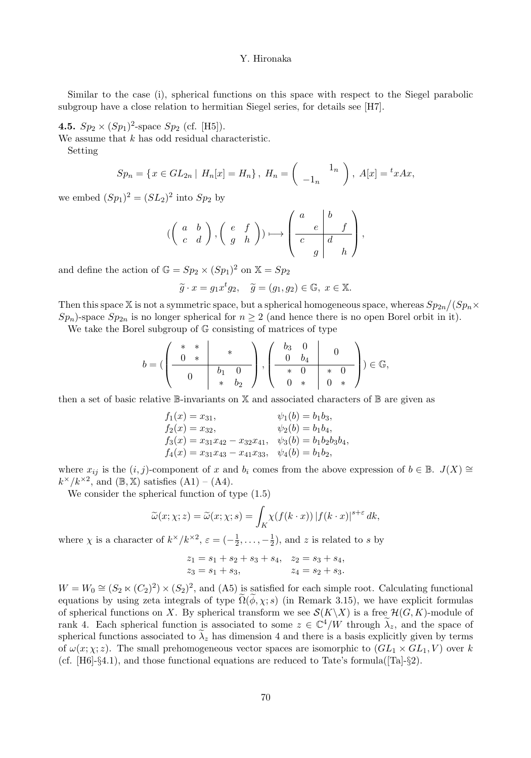Similar to the case (i), spherical functions on this space with respect to the Siegel parabolic subgroup have a close relation to hermitian Siegel series, for details see [H7].

**4.5.**  $Sp_2 \times (Sp_1)^2$ -space  $Sp_2$  (cf. [H5]).

We assume that  $k$  has odd residual characteristic.

Setting

$$
Sp_n = \{ x \in GL_{2n} \mid H_n[x] = H_n \}, \ H_n = \left( \begin{array}{c} 1_n \\ -1_n \end{array} \right), \ A[x] = {^t}xAx,
$$

we embed  $(Sp_1)^2 = (SL_2)^2$  into  $Sp_2$  by

$$
(\left(\begin{array}{cc}a&b\\c&d\end{array}\right),\left(\begin{array}{cc}e&f\\g&h\end{array}\right))\longmapsto \left(\begin{array}{cc|c}a&b&\\c&d&\\&g&h\end{array}\right),
$$

and define the action of  $\mathbb{G} = Sp_2 \times (Sp_1)^2$  on  $\mathbb{X} = Sp_2$ 

$$
\widetilde{g} \cdot x = g_1 x^t g_2, \quad \widetilde{g} = (g_1, g_2) \in \mathbb{G}, \ x \in \mathbb{X}.
$$

Then this space X is not a symmetric space, but a spherical homogeneous space, whereas  $Sp_{2n}/(Sp_n\times Sp_{2n})$  $Sp_n$ )-space  $Sp_{2n}$  is no longer spherical for  $n \geq 2$  (and hence there is no open Borel orbit in it).

We take the Borel subgroup of  $\mathbb{G}$  consisting of matrices of type

$$
b = (\left(\begin{array}{cc|cc} * & * & * \\ 0 & * & * \\ \hline 0 & b_1 & 0 \\ & * & b_2 \end{array}\right), \left(\begin{array}{cc|cc} b_3 & 0 & 0 \\ 0 & b_4 & 0 \\ * & 0 & * & 0 \\ 0 & * & 0 & * \end{array}\right)) \in \mathbb{G},
$$

then a set of basic relative  $\mathbb{B}$ -invariants on X and associated characters of  $\mathbb{B}$  are given as

$$
f_1(x) = x_{31}, \qquad \psi_1(b) = b_1b_3,
$$
  
\n
$$
f_2(x) = x_{32}, \qquad \psi_2(b) = b_1b_4,
$$
  
\n
$$
f_3(x) = x_{31}x_{42} - x_{32}x_{41}, \qquad \psi_3(b) = b_1b_2b_3b_4,
$$
  
\n
$$
f_4(x) = x_{31}x_{43} - x_{41}x_{33}, \qquad \psi_4(b) = b_1b_2,
$$

where  $x_{ij}$  is the  $(i, j)$ -component of x and  $b_i$  comes from the above expression of  $b \in \mathbb{B}$ .  $J(X) \cong$  $k^{\times}/k^{\times 2}$ , and  $(\mathbb{B}, \mathbb{X})$  satisfies  $(A1) - (A4)$ .

We consider the spherical function of type (1.5)

$$
\widetilde{\omega}(x;\chi;z) = \widetilde{\omega}(x;\chi;s) = \int_K \chi(f(k\cdot x)) |f(k\cdot x)|^{s+\varepsilon} dk,
$$

where  $\chi$  is a character of  $k^{\times}/k^{\times 2}$ ,  $\varepsilon = (-\frac{1}{2}, \ldots, -\frac{1}{2})$ , and z is related to s by

$$
\begin{aligned} z_1&=s_1+s_2+s_3+s_4,\quad z_2=s_3+s_4,\\ z_3&=s_1+s_3,\qquad\qquad z_4=s_2+s_3. \end{aligned}
$$

 $W = W_0 \cong (S_2 \ltimes (C_2)^2) \times (S_2)^2$ , and (A5) is satisfied for each simple root. Calculating functional equations by using zeta integrals of type  $\Omega(\phi, \chi; s)$  (in Remark 3.15), we have explicit formulas of spherical functions on X. By spherical transform we see  $\mathcal{S}(K\backslash X)$  is a free  $\mathcal{H}(G, K)$ -module of rank 4. Each spherical function is associated to some  $z \in \mathbb{C}^4/W$  through  $\lambda_z$ , and the space of spherical functions associated to  $\lambda_z$  has dimension 4 and there is a basis explicitly given by terms of  $\omega(x; \chi; z)$ . The small prehomogeneous vector spaces are isomorphic to  $(GL_1 \times GL_1, V)$  over k (cf.  $[H6]-\S4.1$ ), and those functional equations are reduced to Tate's formula( $[Ta]-\S2$ ).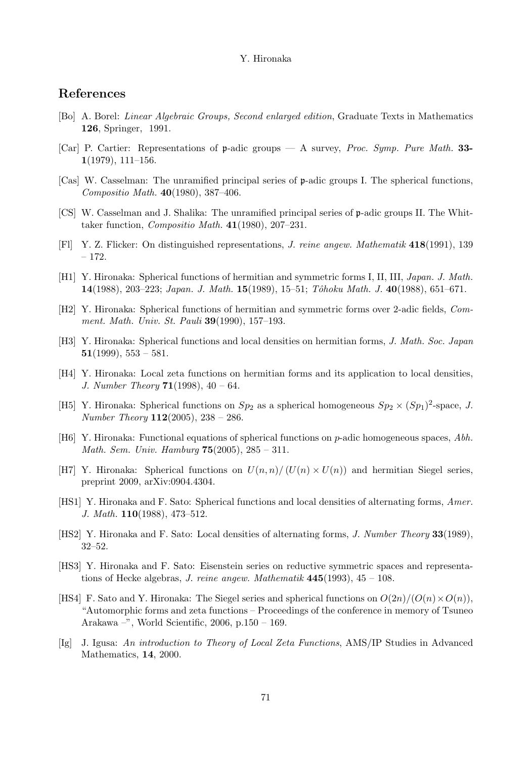## References

- [Bo] A. Borel: Linear Algebraic Groups, Second enlarged edition, Graduate Texts in Mathematics 126, Springer, 1991.
- [Car] P. Cartier: Representations of p-adic groups A survey, Proc. Symp. Pure Math. 33- 1(1979), 111–156.
- [Cas] W. Casselman: The unramified principal series of p-adic groups I. The spherical functions, Compositio Math. 40(1980), 387–406.
- [CS] W. Casselman and J. Shalika: The unramified principal series of p-adic groups II. The Whittaker function, Compositio Math. 41(1980), 207–231.
- [Fl] Y. Z. Flicker: On distinguished representations, J. reine angew. Mathematik 418(1991), 139 – 172.
- [H1] Y. Hironaka: Spherical functions of hermitian and symmetric forms I, II, III, Japan. J. Math. 14(1988), 203–223; Japan. J. Math. 15(1989), 15–51; Tˆohoku Math. J. 40(1988), 651–671.
- [H2] Y. Hironaka: Spherical functions of hermitian and symmetric forms over 2-adic fields, Comment. Math. Univ. St. Pauli 39(1990), 157–193.
- [H3] Y. Hironaka: Spherical functions and local densities on hermitian forms, J. Math. Soc. Japan  $51(1999), 553 - 581.$
- [H4] Y. Hironaka: Local zeta functions on hermitian forms and its application to local densities, J. Number Theory  $71(1998)$ ,  $40 - 64$ .
- [H5] Y. Hironaka: Spherical functions on  $Sp_2$  as a spherical homogeneous  $Sp_2 \times (Sp_1)^2$ -space, J. Number Theory  $112(2005)$ ,  $238 - 286$ .
- [H6] Y. Hironaka: Functional equations of spherical functions on p-adic homogeneous spaces, Abh. *Math. Sem. Univ. Hamburg*  $75(2005)$ ,  $285 - 311$ .
- [H7] Y. Hironaka: Spherical functions on  $U(n,n)/(U(n) \times U(n))$  and hermitian Siegel series, preprint 2009, arXiv:0904.4304.
- [HS1] Y. Hironaka and F. Sato: Spherical functions and local densities of alternating forms, Amer. J. Math. 110(1988), 473–512.
- [HS2] Y. Hironaka and F. Sato: Local densities of alternating forms, *J. Number Theory* 33(1989), 32–52.
- [HS3] Y. Hironaka and F. Sato: Eisenstein series on reductive symmetric spaces and representations of Hecke algebras, J. reine angew. Mathematik  $445(1993)$ ,  $45 - 108$ .
- [HS4] F. Sato and Y. Hironaka: The Siegel series and spherical functions on  $O(2n)/(O(n)\times O(n))$ , "Automorphic forms and zeta functions – Proceedings of the conference in memory of Tsuneo Arakawa –", World Scientific, 2006, p.150 – 169.
- [Ig] J. Igusa: An introduction to Theory of Local Zeta Functions, AMS/IP Studies in Advanced Mathematics, 14, 2000.